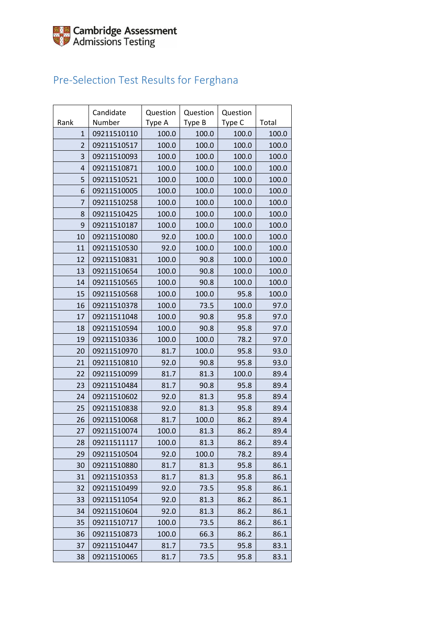## Pre-Selection Test Results for Ferghana

| Rank           | Candidate<br>Number | Question<br>Type A | Question<br>Type B | Question<br>Type C | Total |
|----------------|---------------------|--------------------|--------------------|--------------------|-------|
| $\mathbf{1}$   | 09211510110         | 100.0              | 100.0              | 100.0              | 100.0 |
| $\overline{2}$ | 09211510517         | 100.0              | 100.0              | 100.0              | 100.0 |
| 3              | 09211510093         | 100.0              | 100.0              | 100.0              | 100.0 |
| $\overline{4}$ | 09211510871         | 100.0              | 100.0              | 100.0              | 100.0 |
| 5              | 09211510521         | 100.0              | 100.0              | 100.0              | 100.0 |
| 6              | 09211510005         | 100.0              | 100.0              | 100.0              | 100.0 |
| 7              | 09211510258         | 100.0              | 100.0              | 100.0              | 100.0 |
| 8              | 09211510425         | 100.0              | 100.0              | 100.0              | 100.0 |
| 9              | 09211510187         | 100.0              | 100.0              | 100.0              | 100.0 |
| 10             | 09211510080         | 92.0               | 100.0              | 100.0              | 100.0 |
| 11             | 09211510530         | 92.0               | 100.0              | 100.0              | 100.0 |
| 12             | 09211510831         | 100.0              | 90.8               | 100.0              | 100.0 |
| 13             | 09211510654         | 100.0              | 90.8               | 100.0              | 100.0 |
| 14             | 09211510565         | 100.0              | 90.8               | 100.0              | 100.0 |
| 15             | 09211510568         | 100.0              | 100.0              | 95.8               | 100.0 |
| 16             | 09211510378         | 100.0              | 73.5               | 100.0              | 97.0  |
| 17             | 09211511048         | 100.0              | 90.8               | 95.8               | 97.0  |
| 18             | 09211510594         | 100.0              | 90.8               | 95.8               | 97.0  |
| 19             | 09211510336         | 100.0              | 100.0              | 78.2               | 97.0  |
| 20             | 09211510970         | 81.7               | 100.0              | 95.8               | 93.0  |
| 21             | 09211510810         | 92.0               | 90.8               | 95.8               | 93.0  |
| 22             | 09211510099         | 81.7               | 81.3               | 100.0              | 89.4  |
| 23             | 09211510484         | 81.7               | 90.8               | 95.8               | 89.4  |
| 24             | 09211510602         | 92.0               | 81.3               | 95.8               | 89.4  |
| 25             | 09211510838         | 92.0               | 81.3               | 95.8               | 89.4  |
| 26             | 09211510068         | 81.7               | 100.0              | 86.2               | 89.4  |
| 27             | 09211510074         | 100.0              | 81.3               | 86.2               | 89.4  |
| 28             | 09211511117         | 100.0              | 81.3               | 86.2               | 89.4  |
| 29             | 09211510504         | 92.0               | 100.0              | 78.2               | 89.4  |
| 30             | 09211510880         | 81.7               | 81.3               | 95.8               | 86.1  |
| 31             | 09211510353         | 81.7               | 81.3               | 95.8               | 86.1  |
| 32             | 09211510499         | 92.0               | 73.5               | 95.8               | 86.1  |
| 33             | 09211511054         | 92.0               | 81.3               | 86.2               | 86.1  |
| 34             | 09211510604         | 92.0               | 81.3               | 86.2               | 86.1  |
| 35             | 09211510717         | 100.0              | 73.5               | 86.2               | 86.1  |
| 36             | 09211510873         | 100.0              | 66.3               | 86.2               | 86.1  |
| 37             | 09211510447         | 81.7               | 73.5               | 95.8               | 83.1  |
| 38             | 09211510065         | 81.7               | 73.5               | 95.8               | 83.1  |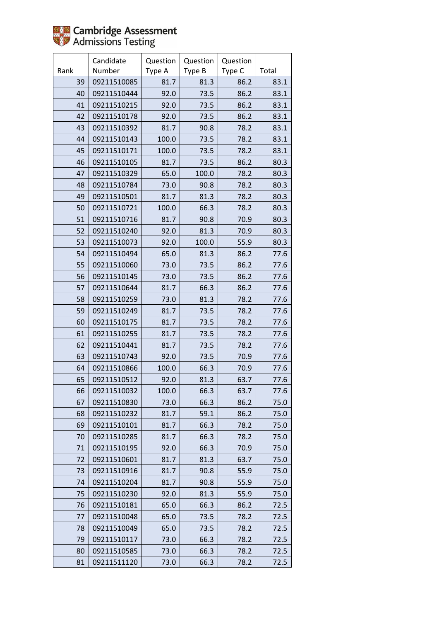

|      | Candidate   | Question | Question | Question |       |
|------|-------------|----------|----------|----------|-------|
| Rank | Number      | Type A   | Type B   | Type C   | Total |
| 39   | 09211510085 | 81.7     | 81.3     | 86.2     | 83.1  |
| 40   | 09211510444 | 92.0     | 73.5     | 86.2     | 83.1  |
| 41   | 09211510215 | 92.0     | 73.5     | 86.2     | 83.1  |
| 42   | 09211510178 | 92.0     | 73.5     | 86.2     | 83.1  |
| 43   | 09211510392 | 81.7     | 90.8     | 78.2     | 83.1  |
| 44   | 09211510143 | 100.0    | 73.5     | 78.2     | 83.1  |
| 45   | 09211510171 | 100.0    | 73.5     | 78.2     | 83.1  |
| 46   | 09211510105 | 81.7     | 73.5     | 86.2     | 80.3  |
| 47   | 09211510329 | 65.0     | 100.0    | 78.2     | 80.3  |
| 48   | 09211510784 | 73.0     | 90.8     | 78.2     | 80.3  |
| 49   | 09211510501 | 81.7     | 81.3     | 78.2     | 80.3  |
| 50   | 09211510721 | 100.0    | 66.3     | 78.2     | 80.3  |
| 51   | 09211510716 | 81.7     | 90.8     | 70.9     | 80.3  |
| 52   | 09211510240 | 92.0     | 81.3     | 70.9     | 80.3  |
| 53   | 09211510073 | 92.0     | 100.0    | 55.9     | 80.3  |
| 54   | 09211510494 | 65.0     | 81.3     | 86.2     | 77.6  |
| 55   | 09211510060 | 73.0     | 73.5     | 86.2     | 77.6  |
| 56   | 09211510145 | 73.0     | 73.5     | 86.2     | 77.6  |
| 57   | 09211510644 | 81.7     | 66.3     | 86.2     | 77.6  |
| 58   | 09211510259 | 73.0     | 81.3     | 78.2     | 77.6  |
| 59   | 09211510249 | 81.7     | 73.5     | 78.2     | 77.6  |
| 60   | 09211510175 | 81.7     | 73.5     | 78.2     | 77.6  |
| 61   | 09211510255 | 81.7     | 73.5     | 78.2     | 77.6  |
| 62   | 09211510441 | 81.7     | 73.5     | 78.2     | 77.6  |
| 63   | 09211510743 | 92.0     | 73.5     | 70.9     | 77.6  |
| 64   | 09211510866 | 100.0    | 66.3     | 70.9     | 77.6  |
| 65   | 09211510512 | 92.0     | 81.3     | 63.7     | 77.6  |
| 66   | 09211510032 | 100.0    | 66.3     | 63.7     | 77.6  |
| 67   | 09211510830 | 73.0     | 66.3     | 86.2     | 75.0  |
| 68   | 09211510232 | 81.7     | 59.1     | 86.2     | 75.0  |
| 69   | 09211510101 | 81.7     | 66.3     | 78.2     | 75.0  |
| 70   | 09211510285 | 81.7     | 66.3     | 78.2     | 75.0  |
| 71   | 09211510195 | 92.0     | 66.3     | 70.9     | 75.0  |
| 72   | 09211510601 | 81.7     | 81.3     | 63.7     | 75.0  |
| 73   | 09211510916 | 81.7     | 90.8     | 55.9     | 75.0  |
| 74   | 09211510204 | 81.7     | 90.8     | 55.9     | 75.0  |
| 75   | 09211510230 | 92.0     | 81.3     | 55.9     | 75.0  |
| 76   | 09211510181 | 65.0     | 66.3     | 86.2     | 72.5  |
| 77   | 09211510048 | 65.0     | 73.5     | 78.2     | 72.5  |
| 78   | 09211510049 | 65.0     | 73.5     | 78.2     | 72.5  |
| 79   | 09211510117 | 73.0     | 66.3     | 78.2     | 72.5  |
| 80   | 09211510585 | 73.0     | 66.3     | 78.2     | 72.5  |
| 81   | 09211511120 | 73.0     | 66.3     | 78.2     | 72.5  |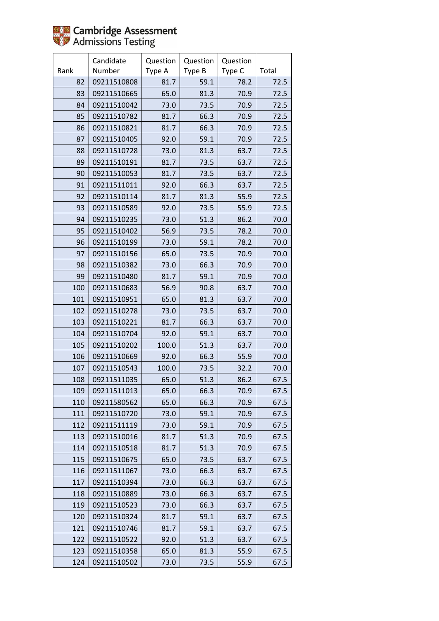

|      | Candidate   | Question | Question | Question |       |
|------|-------------|----------|----------|----------|-------|
| Rank | Number      | Type A   | Type B   | Type C   | Total |
| 82   | 09211510808 | 81.7     | 59.1     | 78.2     | 72.5  |
| 83   | 09211510665 | 65.0     | 81.3     | 70.9     | 72.5  |
| 84   | 09211510042 | 73.0     | 73.5     | 70.9     | 72.5  |
| 85   | 09211510782 | 81.7     | 66.3     | 70.9     | 72.5  |
| 86   | 09211510821 | 81.7     | 66.3     | 70.9     | 72.5  |
| 87   | 09211510405 | 92.0     | 59.1     | 70.9     | 72.5  |
| 88   | 09211510728 | 73.0     | 81.3     | 63.7     | 72.5  |
| 89   | 09211510191 | 81.7     | 73.5     | 63.7     | 72.5  |
| 90   | 09211510053 | 81.7     | 73.5     | 63.7     | 72.5  |
| 91   | 09211511011 | 92.0     | 66.3     | 63.7     | 72.5  |
| 92   | 09211510114 | 81.7     | 81.3     | 55.9     | 72.5  |
| 93   | 09211510589 | 92.0     | 73.5     | 55.9     | 72.5  |
| 94   | 09211510235 | 73.0     | 51.3     | 86.2     | 70.0  |
| 95   | 09211510402 | 56.9     | 73.5     | 78.2     | 70.0  |
| 96   | 09211510199 | 73.0     | 59.1     | 78.2     | 70.0  |
| 97   | 09211510156 | 65.0     | 73.5     | 70.9     | 70.0  |
| 98   | 09211510382 | 73.0     | 66.3     | 70.9     | 70.0  |
| 99   | 09211510480 | 81.7     | 59.1     | 70.9     | 70.0  |
| 100  | 09211510683 | 56.9     | 90.8     | 63.7     | 70.0  |
| 101  | 09211510951 | 65.0     | 81.3     | 63.7     | 70.0  |
| 102  | 09211510278 | 73.0     | 73.5     | 63.7     | 70.0  |
| 103  | 09211510221 | 81.7     | 66.3     | 63.7     | 70.0  |
| 104  | 09211510704 | 92.0     | 59.1     | 63.7     | 70.0  |
| 105  | 09211510202 | 100.0    | 51.3     | 63.7     | 70.0  |
| 106  | 09211510669 | 92.0     | 66.3     | 55.9     | 70.0  |
| 107  | 09211510543 | 100.0    | 73.5     | 32.2     | 70.0  |
| 108  | 09211511035 | 65.0     | 51.3     | 86.2     | 67.5  |
| 109  | 09211511013 | 65.0     | 66.3     | 70.9     | 67.5  |
| 110  | 09211580562 | 65.0     | 66.3     | 70.9     | 67.5  |
| 111  | 09211510720 | 73.0     | 59.1     | 70.9     | 67.5  |
| 112  | 09211511119 | 73.0     | 59.1     | 70.9     | 67.5  |
| 113  | 09211510016 | 81.7     | 51.3     | 70.9     | 67.5  |
| 114  | 09211510518 | 81.7     | 51.3     | 70.9     | 67.5  |
| 115  | 09211510675 | 65.0     | 73.5     | 63.7     | 67.5  |
| 116  | 09211511067 | 73.0     | 66.3     | 63.7     | 67.5  |
| 117  | 09211510394 | 73.0     | 66.3     | 63.7     | 67.5  |
| 118  | 09211510889 | 73.0     | 66.3     | 63.7     | 67.5  |
| 119  | 09211510523 | 73.0     | 66.3     | 63.7     | 67.5  |
| 120  | 09211510324 | 81.7     | 59.1     | 63.7     | 67.5  |
| 121  | 09211510746 | 81.7     | 59.1     | 63.7     | 67.5  |
| 122  | 09211510522 | 92.0     | 51.3     | 63.7     | 67.5  |
| 123  | 09211510358 | 65.0     | 81.3     | 55.9     | 67.5  |
| 124  | 09211510502 | 73.0     | 73.5     | 55.9     | 67.5  |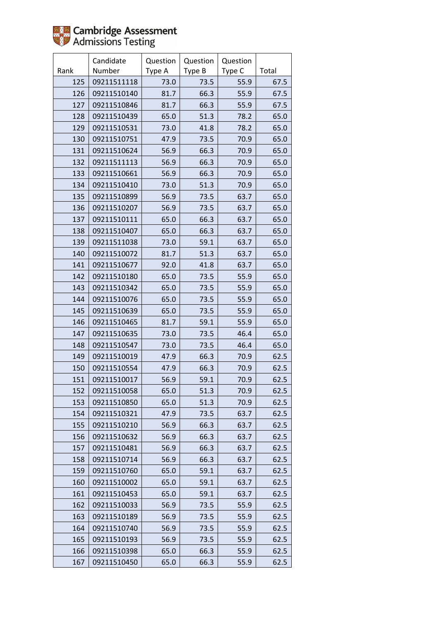

|      | Candidate   | Question | Question | Question |       |
|------|-------------|----------|----------|----------|-------|
| Rank | Number      | Type A   | Type B   | Type C   | Total |
| 125  | 09211511118 | 73.0     | 73.5     | 55.9     | 67.5  |
| 126  | 09211510140 | 81.7     | 66.3     | 55.9     | 67.5  |
| 127  | 09211510846 | 81.7     | 66.3     | 55.9     | 67.5  |
| 128  | 09211510439 | 65.0     | 51.3     | 78.2     | 65.0  |
| 129  | 09211510531 | 73.0     | 41.8     | 78.2     | 65.0  |
| 130  | 09211510751 | 47.9     | 73.5     | 70.9     | 65.0  |
| 131  | 09211510624 | 56.9     | 66.3     | 70.9     | 65.0  |
| 132  | 09211511113 | 56.9     | 66.3     | 70.9     | 65.0  |
| 133  | 09211510661 | 56.9     | 66.3     | 70.9     | 65.0  |
| 134  | 09211510410 | 73.0     | 51.3     | 70.9     | 65.0  |
| 135  | 09211510899 | 56.9     | 73.5     | 63.7     | 65.0  |
| 136  | 09211510207 | 56.9     | 73.5     | 63.7     | 65.0  |
| 137  | 09211510111 | 65.0     | 66.3     | 63.7     | 65.0  |
| 138  | 09211510407 | 65.0     | 66.3     | 63.7     | 65.0  |
| 139  | 09211511038 | 73.0     | 59.1     | 63.7     | 65.0  |
| 140  | 09211510072 | 81.7     | 51.3     | 63.7     | 65.0  |
| 141  | 09211510677 | 92.0     | 41.8     | 63.7     | 65.0  |
| 142  | 09211510180 | 65.0     | 73.5     | 55.9     | 65.0  |
| 143  | 09211510342 | 65.0     | 73.5     | 55.9     | 65.0  |
| 144  | 09211510076 | 65.0     | 73.5     | 55.9     | 65.0  |
| 145  | 09211510639 | 65.0     | 73.5     | 55.9     | 65.0  |
| 146  | 09211510465 | 81.7     | 59.1     | 55.9     | 65.0  |
| 147  | 09211510635 | 73.0     | 73.5     | 46.4     | 65.0  |
| 148  | 09211510547 | 73.0     | 73.5     | 46.4     | 65.0  |
| 149  | 09211510019 | 47.9     | 66.3     | 70.9     | 62.5  |
| 150  | 09211510554 | 47.9     | 66.3     | 70.9     | 62.5  |
| 151  | 09211510017 | 56.9     | 59.1     | 70.9     | 62.5  |
| 152  | 09211510058 | 65.0     | 51.3     | 70.9     | 62.5  |
| 153  | 09211510850 | 65.0     | 51.3     | 70.9     | 62.5  |
| 154  | 09211510321 | 47.9     | 73.5     | 63.7     | 62.5  |
| 155  | 09211510210 | 56.9     | 66.3     | 63.7     | 62.5  |
| 156  | 09211510632 | 56.9     | 66.3     | 63.7     | 62.5  |
| 157  | 09211510481 | 56.9     | 66.3     | 63.7     | 62.5  |
| 158  | 09211510714 | 56.9     | 66.3     | 63.7     | 62.5  |
| 159  | 09211510760 | 65.0     | 59.1     | 63.7     | 62.5  |
| 160  | 09211510002 | 65.0     | 59.1     | 63.7     | 62.5  |
| 161  | 09211510453 | 65.0     | 59.1     | 63.7     | 62.5  |
| 162  | 09211510033 | 56.9     | 73.5     | 55.9     | 62.5  |
| 163  | 09211510189 | 56.9     | 73.5     | 55.9     | 62.5  |
| 164  | 09211510740 | 56.9     | 73.5     | 55.9     | 62.5  |
| 165  | 09211510193 | 56.9     | 73.5     | 55.9     | 62.5  |
| 166  | 09211510398 | 65.0     | 66.3     | 55.9     | 62.5  |
| 167  | 09211510450 | 65.0     | 66.3     | 55.9     | 62.5  |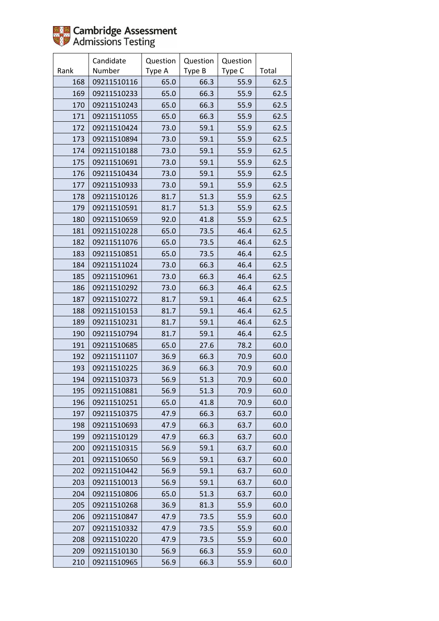|      | Candidate   | Question | Question | Question |       |
|------|-------------|----------|----------|----------|-------|
| Rank | Number      | Type A   | Type B   | Type C   | Total |
| 168  | 09211510116 | 65.0     | 66.3     | 55.9     | 62.5  |
| 169  | 09211510233 | 65.0     | 66.3     | 55.9     | 62.5  |
| 170  | 09211510243 | 65.0     | 66.3     | 55.9     | 62.5  |
| 171  | 09211511055 | 65.0     | 66.3     | 55.9     | 62.5  |
| 172  | 09211510424 | 73.0     | 59.1     | 55.9     | 62.5  |
| 173  | 09211510894 | 73.0     | 59.1     | 55.9     | 62.5  |
| 174  | 09211510188 | 73.0     | 59.1     | 55.9     | 62.5  |
| 175  | 09211510691 | 73.0     | 59.1     | 55.9     | 62.5  |
| 176  | 09211510434 | 73.0     | 59.1     | 55.9     | 62.5  |
| 177  | 09211510933 | 73.0     | 59.1     | 55.9     | 62.5  |
| 178  | 09211510126 | 81.7     | 51.3     | 55.9     | 62.5  |
| 179  | 09211510591 | 81.7     | 51.3     | 55.9     | 62.5  |
| 180  | 09211510659 | 92.0     | 41.8     | 55.9     | 62.5  |
| 181  | 09211510228 | 65.0     | 73.5     | 46.4     | 62.5  |
| 182  | 09211511076 | 65.0     | 73.5     | 46.4     | 62.5  |
| 183  | 09211510851 | 65.0     | 73.5     | 46.4     | 62.5  |
| 184  | 09211511024 | 73.0     | 66.3     | 46.4     | 62.5  |
| 185  | 09211510961 | 73.0     | 66.3     | 46.4     | 62.5  |
| 186  | 09211510292 | 73.0     | 66.3     | 46.4     | 62.5  |
| 187  | 09211510272 | 81.7     | 59.1     | 46.4     | 62.5  |
| 188  | 09211510153 | 81.7     | 59.1     | 46.4     | 62.5  |
| 189  | 09211510231 | 81.7     | 59.1     | 46.4     | 62.5  |
| 190  | 09211510794 | 81.7     | 59.1     | 46.4     | 62.5  |
| 191  | 09211510685 | 65.0     | 27.6     | 78.2     | 60.0  |
| 192  | 09211511107 | 36.9     | 66.3     | 70.9     | 60.0  |
| 193  | 09211510225 | 36.9     | 66.3     | 70.9     | 60.0  |
| 194  | 09211510373 | 56.9     | 51.3     | 70.9     | 60.0  |
| 195  | 09211510881 | 56.9     | 51.3     | 70.9     | 60.0  |
| 196  | 09211510251 | 65.0     | 41.8     | 70.9     | 60.0  |
| 197  | 09211510375 | 47.9     | 66.3     | 63.7     | 60.0  |
| 198  | 09211510693 | 47.9     | 66.3     | 63.7     | 60.0  |
| 199  | 09211510129 | 47.9     | 66.3     | 63.7     | 60.0  |
| 200  | 09211510315 | 56.9     | 59.1     | 63.7     | 60.0  |
| 201  | 09211510650 | 56.9     | 59.1     | 63.7     | 60.0  |
| 202  | 09211510442 | 56.9     | 59.1     | 63.7     | 60.0  |
| 203  | 09211510013 | 56.9     | 59.1     | 63.7     | 60.0  |
| 204  | 09211510806 | 65.0     | 51.3     | 63.7     | 60.0  |
| 205  | 09211510268 | 36.9     | 81.3     | 55.9     | 60.0  |
| 206  | 09211510847 | 47.9     | 73.5     | 55.9     | 60.0  |
| 207  | 09211510332 | 47.9     | 73.5     | 55.9     | 60.0  |
| 208  | 09211510220 | 47.9     | 73.5     | 55.9     | 60.0  |
| 209  | 09211510130 | 56.9     | 66.3     | 55.9     | 60.0  |
| 210  | 09211510965 | 56.9     | 66.3     | 55.9     | 60.0  |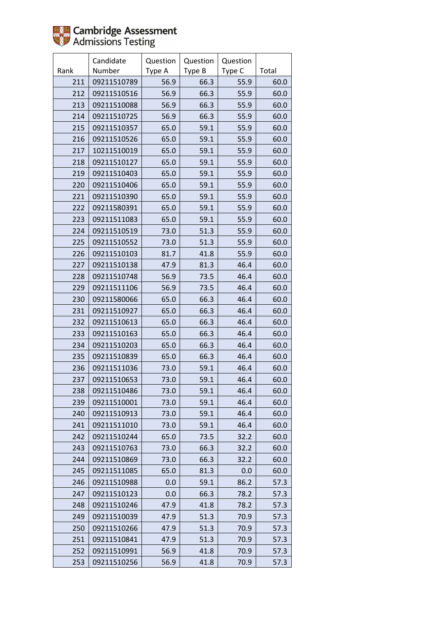

|      | Candidate   | Question | Question | Question |       |
|------|-------------|----------|----------|----------|-------|
| Rank | Number      | Type A   | Type B   | Type C   | Total |
| 211  | 09211510789 | 56.9     | 66.3     | 55.9     | 60.0  |
| 212  | 09211510516 | 56.9     | 66.3     | 55.9     | 60.0  |
| 213  | 09211510088 | 56.9     | 66.3     | 55.9     | 60.0  |
| 214  | 09211510725 | 56.9     | 66.3     | 55.9     | 60.0  |
| 215  | 09211510357 | 65.0     | 59.1     | 55.9     | 60.0  |
| 216  | 09211510526 | 65.0     | 59.1     | 55.9     | 60.0  |
| 217  | 10211510019 | 65.0     | 59.1     | 55.9     | 60.0  |
| 218  | 09211510127 | 65.0     | 59.1     | 55.9     | 60.0  |
| 219  | 09211510403 | 65.0     | 59.1     | 55.9     | 60.0  |
| 220  | 09211510406 | 65.0     | 59.1     | 55.9     | 60.0  |
| 221  | 09211510390 | 65.0     | 59.1     | 55.9     | 60.0  |
| 222  | 09211580391 | 65.0     | 59.1     | 55.9     | 60.0  |
| 223  | 09211511083 | 65.0     | 59.1     | 55.9     | 60.0  |
| 224  | 09211510519 | 73.0     | 51.3     | 55.9     | 60.0  |
| 225  | 09211510552 | 73.0     | 51.3     | 55.9     | 60.0  |
| 226  | 09211510103 | 81.7     | 41.8     | 55.9     | 60.0  |
| 227  | 09211510138 | 47.9     | 81.3     | 46.4     | 60.0  |
| 228  | 09211510748 | 56.9     | 73.5     | 46.4     | 60.0  |
| 229  | 09211511106 | 56.9     | 73.5     | 46.4     | 60.0  |
| 230  | 09211580066 | 65.0     | 66.3     | 46.4     | 60.0  |
| 231  | 09211510927 | 65.0     | 66.3     | 46.4     | 60.0  |
| 232  | 09211510613 | 65.0     | 66.3     | 46.4     | 60.0  |
| 233  | 09211510163 | 65.0     | 66.3     | 46.4     | 60.0  |
| 234  | 09211510203 | 65.0     | 66.3     | 46.4     | 60.0  |
| 235  | 09211510839 | 65.0     | 66.3     | 46.4     | 60.0  |
| 236  | 09211511036 | 73.0     | 59.1     | 46.4     | 60.0  |
| 237  | 09211510653 | 73.0     | 59.1     | 46.4     | 60.0  |
| 238  | 09211510486 | 73.0     | 59.1     | 46.4     | 60.0  |
| 239  | 09211510001 | 73.0     | 59.1     | 46.4     | 60.0  |
| 240  | 09211510913 | 73.0     | 59.1     | 46.4     | 60.0  |
| 241  | 09211511010 | 73.0     | 59.1     | 46.4     | 60.0  |
| 242  | 09211510244 | 65.0     | 73.5     | 32.2     | 60.0  |
| 243  | 09211510763 | 73.0     | 66.3     | 32.2     | 60.0  |
| 244  | 09211510869 | 73.0     | 66.3     | 32.2     | 60.0  |
| 245  | 09211511085 | 65.0     | 81.3     | 0.0      | 60.0  |
| 246  | 09211510988 | 0.0      | 59.1     | 86.2     | 57.3  |
| 247  | 09211510123 | 0.0      | 66.3     | 78.2     | 57.3  |
| 248  | 09211510246 | 47.9     | 41.8     | 78.2     | 57.3  |
| 249  | 09211510039 | 47.9     | 51.3     | 70.9     | 57.3  |
| 250  | 09211510266 | 47.9     | 51.3     | 70.9     | 57.3  |
| 251  | 09211510841 | 47.9     | 51.3     | 70.9     | 57.3  |
| 252  | 09211510991 | 56.9     | 41.8     | 70.9     | 57.3  |
| 253  | 09211510256 | 56.9     | 41.8     | 70.9     | 57.3  |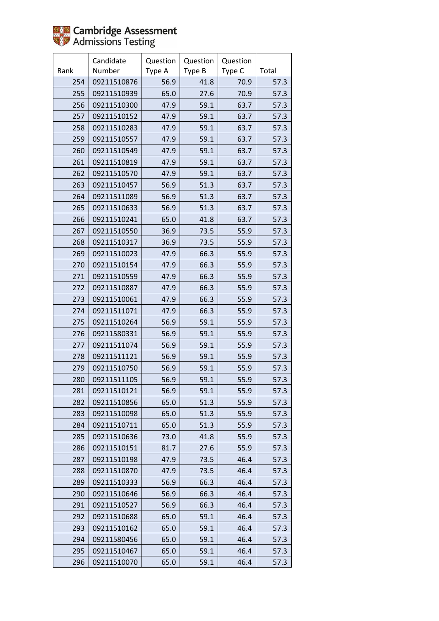

|      | Candidate   | Question | Question | Question |       |
|------|-------------|----------|----------|----------|-------|
| Rank | Number      | Type A   | Type B   | Type C   | Total |
| 254  | 09211510876 | 56.9     | 41.8     | 70.9     | 57.3  |
| 255  | 09211510939 | 65.0     | 27.6     | 70.9     | 57.3  |
| 256  | 09211510300 | 47.9     | 59.1     | 63.7     | 57.3  |
| 257  | 09211510152 | 47.9     | 59.1     | 63.7     | 57.3  |
| 258  | 09211510283 | 47.9     | 59.1     | 63.7     | 57.3  |
| 259  | 09211510557 | 47.9     | 59.1     | 63.7     | 57.3  |
| 260  | 09211510549 | 47.9     | 59.1     | 63.7     | 57.3  |
| 261  | 09211510819 | 47.9     | 59.1     | 63.7     | 57.3  |
| 262  | 09211510570 | 47.9     | 59.1     | 63.7     | 57.3  |
| 263  | 09211510457 | 56.9     | 51.3     | 63.7     | 57.3  |
| 264  | 09211511089 | 56.9     | 51.3     | 63.7     | 57.3  |
| 265  | 09211510633 | 56.9     | 51.3     | 63.7     | 57.3  |
| 266  | 09211510241 | 65.0     | 41.8     | 63.7     | 57.3  |
| 267  | 09211510550 | 36.9     | 73.5     | 55.9     | 57.3  |
| 268  | 09211510317 | 36.9     | 73.5     | 55.9     | 57.3  |
| 269  | 09211510023 | 47.9     | 66.3     | 55.9     | 57.3  |
| 270  | 09211510154 | 47.9     | 66.3     | 55.9     | 57.3  |
| 271  | 09211510559 | 47.9     | 66.3     | 55.9     | 57.3  |
| 272  | 09211510887 | 47.9     | 66.3     | 55.9     | 57.3  |
| 273  | 09211510061 | 47.9     | 66.3     | 55.9     | 57.3  |
| 274  | 09211511071 | 47.9     | 66.3     | 55.9     | 57.3  |
| 275  | 09211510264 | 56.9     | 59.1     | 55.9     | 57.3  |
| 276  | 09211580331 | 56.9     | 59.1     | 55.9     | 57.3  |
| 277  | 09211511074 | 56.9     | 59.1     | 55.9     | 57.3  |
| 278  | 09211511121 | 56.9     | 59.1     | 55.9     | 57.3  |
| 279  | 09211510750 | 56.9     | 59.1     | 55.9     | 57.3  |
| 280  | 09211511105 | 56.9     | 59.1     | 55.9     | 57.3  |
| 281  | 09211510121 | 56.9     | 59.1     | 55.9     | 57.3  |
| 282  | 09211510856 | 65.0     | 51.3     | 55.9     | 57.3  |
| 283  | 09211510098 | 65.0     | 51.3     | 55.9     | 57.3  |
| 284  | 09211510711 | 65.0     | 51.3     | 55.9     | 57.3  |
| 285  | 09211510636 | 73.0     | 41.8     | 55.9     | 57.3  |
| 286  | 09211510151 | 81.7     | 27.6     | 55.9     | 57.3  |
| 287  | 09211510198 | 47.9     | 73.5     | 46.4     | 57.3  |
| 288  | 09211510870 | 47.9     | 73.5     | 46.4     | 57.3  |
| 289  | 09211510333 | 56.9     | 66.3     | 46.4     | 57.3  |
| 290  | 09211510646 | 56.9     | 66.3     | 46.4     | 57.3  |
| 291  | 09211510527 | 56.9     | 66.3     | 46.4     | 57.3  |
| 292  | 09211510688 | 65.0     | 59.1     | 46.4     | 57.3  |
| 293  | 09211510162 | 65.0     | 59.1     | 46.4     | 57.3  |
| 294  | 09211580456 | 65.0     | 59.1     | 46.4     | 57.3  |
| 295  | 09211510467 | 65.0     | 59.1     | 46.4     | 57.3  |
| 296  | 09211510070 | 65.0     | 59.1     | 46.4     | 57.3  |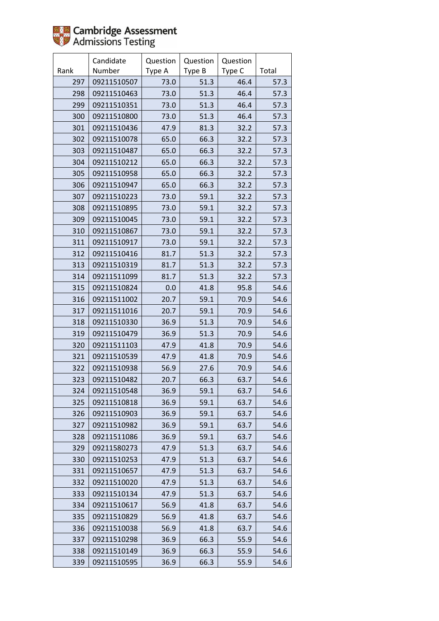

|      | Candidate   | Question | Question | Question |       |
|------|-------------|----------|----------|----------|-------|
| Rank | Number      | Type A   | Type B   | Type C   | Total |
| 297  | 09211510507 | 73.0     | 51.3     | 46.4     | 57.3  |
| 298  | 09211510463 | 73.0     | 51.3     | 46.4     | 57.3  |
| 299  | 09211510351 | 73.0     | 51.3     | 46.4     | 57.3  |
| 300  | 09211510800 | 73.0     | 51.3     | 46.4     | 57.3  |
| 301  | 09211510436 | 47.9     | 81.3     | 32.2     | 57.3  |
| 302  | 09211510078 | 65.0     | 66.3     | 32.2     | 57.3  |
| 303  | 09211510487 | 65.0     | 66.3     | 32.2     | 57.3  |
| 304  | 09211510212 | 65.0     | 66.3     | 32.2     | 57.3  |
| 305  | 09211510958 | 65.0     | 66.3     | 32.2     | 57.3  |
| 306  | 09211510947 | 65.0     | 66.3     | 32.2     | 57.3  |
| 307  | 09211510223 | 73.0     | 59.1     | 32.2     | 57.3  |
| 308  | 09211510895 | 73.0     | 59.1     | 32.2     | 57.3  |
| 309  | 09211510045 | 73.0     | 59.1     | 32.2     | 57.3  |
| 310  | 09211510867 | 73.0     | 59.1     | 32.2     | 57.3  |
| 311  | 09211510917 | 73.0     | 59.1     | 32.2     | 57.3  |
| 312  | 09211510416 | 81.7     | 51.3     | 32.2     | 57.3  |
| 313  | 09211510319 | 81.7     | 51.3     | 32.2     | 57.3  |
| 314  | 09211511099 | 81.7     | 51.3     | 32.2     | 57.3  |
| 315  | 09211510824 | 0.0      | 41.8     | 95.8     | 54.6  |
| 316  | 09211511002 | 20.7     | 59.1     | 70.9     | 54.6  |
| 317  | 09211511016 | 20.7     | 59.1     | 70.9     | 54.6  |
| 318  | 09211510330 | 36.9     | 51.3     | 70.9     | 54.6  |
| 319  | 09211510479 | 36.9     | 51.3     | 70.9     | 54.6  |
| 320  | 09211511103 | 47.9     | 41.8     | 70.9     | 54.6  |
| 321  | 09211510539 | 47.9     | 41.8     | 70.9     | 54.6  |
| 322  | 09211510938 | 56.9     | 27.6     | 70.9     | 54.6  |
| 323  | 09211510482 | 20.7     | 66.3     | 63.7     | 54.6  |
| 324  | 09211510548 | 36.9     | 59.1     | 63.7     | 54.6  |
| 325  | 09211510818 | 36.9     | 59.1     | 63.7     | 54.6  |
| 326  | 09211510903 | 36.9     | 59.1     | 63.7     | 54.6  |
| 327  | 09211510982 | 36.9     | 59.1     | 63.7     | 54.6  |
| 328  | 09211511086 | 36.9     | 59.1     | 63.7     | 54.6  |
| 329  | 09211580273 | 47.9     | 51.3     | 63.7     | 54.6  |
| 330  | 09211510253 | 47.9     | 51.3     | 63.7     | 54.6  |
| 331  | 09211510657 | 47.9     | 51.3     | 63.7     | 54.6  |
| 332  | 09211510020 | 47.9     | 51.3     | 63.7     | 54.6  |
| 333  | 09211510134 | 47.9     | 51.3     | 63.7     | 54.6  |
| 334  | 09211510617 | 56.9     | 41.8     | 63.7     | 54.6  |
| 335  | 09211510829 | 56.9     | 41.8     | 63.7     | 54.6  |
| 336  | 09211510038 | 56.9     | 41.8     | 63.7     | 54.6  |
| 337  | 09211510298 | 36.9     | 66.3     | 55.9     | 54.6  |
| 338  | 09211510149 | 36.9     | 66.3     | 55.9     | 54.6  |
| 339  | 09211510595 | 36.9     | 66.3     | 55.9     | 54.6  |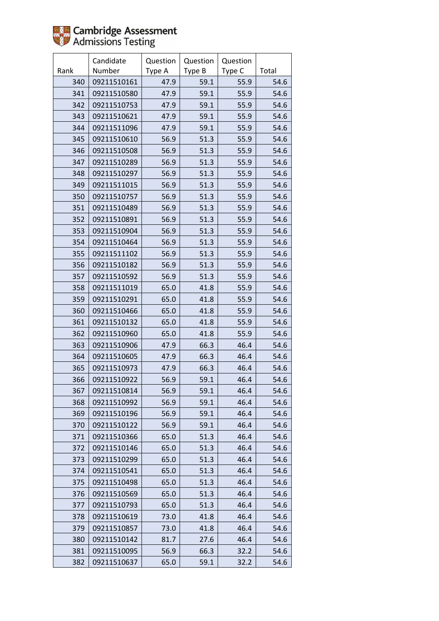

|      | Candidate   | Question | Question | Question |       |
|------|-------------|----------|----------|----------|-------|
| Rank | Number      | Type A   | Type B   | Type C   | Total |
| 340  | 09211510161 | 47.9     | 59.1     | 55.9     | 54.6  |
| 341  | 09211510580 | 47.9     | 59.1     | 55.9     | 54.6  |
| 342  | 09211510753 | 47.9     | 59.1     | 55.9     | 54.6  |
| 343  | 09211510621 | 47.9     | 59.1     | 55.9     | 54.6  |
| 344  | 09211511096 | 47.9     | 59.1     | 55.9     | 54.6  |
| 345  | 09211510610 | 56.9     | 51.3     | 55.9     | 54.6  |
| 346  | 09211510508 | 56.9     | 51.3     | 55.9     | 54.6  |
| 347  | 09211510289 | 56.9     | 51.3     | 55.9     | 54.6  |
| 348  | 09211510297 | 56.9     | 51.3     | 55.9     | 54.6  |
| 349  | 09211511015 | 56.9     | 51.3     | 55.9     | 54.6  |
| 350  | 09211510757 | 56.9     | 51.3     | 55.9     | 54.6  |
| 351  | 09211510489 | 56.9     | 51.3     | 55.9     | 54.6  |
| 352  | 09211510891 | 56.9     | 51.3     | 55.9     | 54.6  |
| 353  | 09211510904 | 56.9     | 51.3     | 55.9     | 54.6  |
| 354  | 09211510464 | 56.9     | 51.3     | 55.9     | 54.6  |
| 355  | 09211511102 | 56.9     | 51.3     | 55.9     | 54.6  |
| 356  | 09211510182 | 56.9     | 51.3     | 55.9     | 54.6  |
| 357  | 09211510592 | 56.9     | 51.3     | 55.9     | 54.6  |
| 358  | 09211511019 | 65.0     | 41.8     | 55.9     | 54.6  |
| 359  | 09211510291 | 65.0     | 41.8     | 55.9     | 54.6  |
| 360  | 09211510466 | 65.0     | 41.8     | 55.9     | 54.6  |
| 361  | 09211510132 | 65.0     | 41.8     | 55.9     | 54.6  |
| 362  | 09211510960 | 65.0     | 41.8     | 55.9     | 54.6  |
| 363  | 09211510906 | 47.9     | 66.3     | 46.4     | 54.6  |
| 364  | 09211510605 | 47.9     | 66.3     | 46.4     | 54.6  |
| 365  | 09211510973 | 47.9     | 66.3     | 46.4     | 54.6  |
| 366  | 09211510922 | 56.9     | 59.1     | 46.4     | 54.6  |
| 367  | 09211510814 | 56.9     | 59.1     | 46.4     | 54.6  |
| 368  | 09211510992 | 56.9     | 59.1     | 46.4     | 54.6  |
| 369  | 09211510196 | 56.9     | 59.1     | 46.4     | 54.6  |
| 370  | 09211510122 | 56.9     | 59.1     | 46.4     | 54.6  |
| 371  | 09211510366 | 65.0     | 51.3     | 46.4     | 54.6  |
| 372  | 09211510146 | 65.0     | 51.3     | 46.4     | 54.6  |
| 373  | 09211510299 | 65.0     | 51.3     | 46.4     | 54.6  |
| 374  | 09211510541 | 65.0     | 51.3     | 46.4     | 54.6  |
| 375  | 09211510498 | 65.0     | 51.3     | 46.4     | 54.6  |
| 376  | 09211510569 | 65.0     | 51.3     | 46.4     | 54.6  |
| 377  | 09211510793 | 65.0     | 51.3     | 46.4     | 54.6  |
| 378  | 09211510619 | 73.0     | 41.8     | 46.4     | 54.6  |
| 379  | 09211510857 | 73.0     | 41.8     | 46.4     | 54.6  |
| 380  | 09211510142 | 81.7     | 27.6     | 46.4     | 54.6  |
| 381  | 09211510095 | 56.9     | 66.3     | 32.2     | 54.6  |
| 382  | 09211510637 | 65.0     | 59.1     | 32.2     | 54.6  |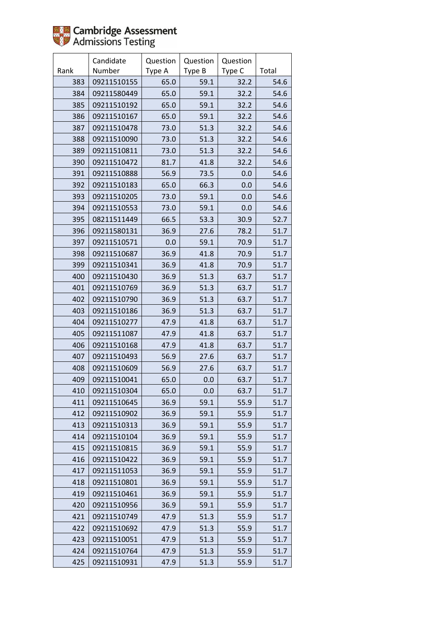|      | Candidate   | Question | Question | Question |       |
|------|-------------|----------|----------|----------|-------|
| Rank | Number      | Type A   | Type B   | Type C   | Total |
| 383  | 09211510155 | 65.0     | 59.1     | 32.2     | 54.6  |
| 384  | 09211580449 | 65.0     | 59.1     | 32.2     | 54.6  |
| 385  | 09211510192 | 65.0     | 59.1     | 32.2     | 54.6  |
| 386  | 09211510167 | 65.0     | 59.1     | 32.2     | 54.6  |
| 387  | 09211510478 | 73.0     | 51.3     | 32.2     | 54.6  |
| 388  | 09211510090 | 73.0     | 51.3     | 32.2     | 54.6  |
| 389  | 09211510811 | 73.0     | 51.3     | 32.2     | 54.6  |
| 390  | 09211510472 | 81.7     | 41.8     | 32.2     | 54.6  |
| 391  | 09211510888 | 56.9     | 73.5     | 0.0      | 54.6  |
| 392  | 09211510183 | 65.0     | 66.3     | 0.0      | 54.6  |
| 393  | 09211510205 | 73.0     | 59.1     | 0.0      | 54.6  |
| 394  | 09211510553 | 73.0     | 59.1     | 0.0      | 54.6  |
| 395  | 08211511449 | 66.5     | 53.3     | 30.9     | 52.7  |
| 396  | 09211580131 | 36.9     | 27.6     | 78.2     | 51.7  |
| 397  | 09211510571 | 0.0      | 59.1     | 70.9     | 51.7  |
| 398  | 09211510687 | 36.9     | 41.8     | 70.9     | 51.7  |
| 399  | 09211510341 | 36.9     | 41.8     | 70.9     | 51.7  |
| 400  | 09211510430 | 36.9     | 51.3     | 63.7     | 51.7  |
| 401  | 09211510769 | 36.9     | 51.3     | 63.7     | 51.7  |
| 402  | 09211510790 | 36.9     | 51.3     | 63.7     | 51.7  |
| 403  | 09211510186 | 36.9     | 51.3     | 63.7     | 51.7  |
| 404  | 09211510277 | 47.9     | 41.8     | 63.7     | 51.7  |
| 405  | 09211511087 | 47.9     | 41.8     | 63.7     | 51.7  |
| 406  | 09211510168 | 47.9     | 41.8     | 63.7     | 51.7  |
| 407  | 09211510493 | 56.9     | 27.6     | 63.7     | 51.7  |
| 408  | 09211510609 | 56.9     | 27.6     | 63.7     | 51.7  |
| 409  | 09211510041 | 65.0     | 0.0      | 63.7     | 51.7  |
| 410  | 09211510304 | 65.0     | 0.0      | 63.7     | 51.7  |
| 411  | 09211510645 | 36.9     | 59.1     | 55.9     | 51.7  |
| 412  | 09211510902 | 36.9     | 59.1     | 55.9     | 51.7  |
| 413  | 09211510313 | 36.9     | 59.1     | 55.9     | 51.7  |
| 414  | 09211510104 | 36.9     | 59.1     | 55.9     | 51.7  |
| 415  | 09211510815 | 36.9     | 59.1     | 55.9     | 51.7  |
| 416  | 09211510422 | 36.9     | 59.1     | 55.9     | 51.7  |
| 417  | 09211511053 | 36.9     | 59.1     | 55.9     | 51.7  |
| 418  | 09211510801 | 36.9     | 59.1     | 55.9     | 51.7  |
| 419  | 09211510461 | 36.9     | 59.1     | 55.9     | 51.7  |
| 420  | 09211510956 | 36.9     | 59.1     | 55.9     | 51.7  |
| 421  | 09211510749 | 47.9     | 51.3     | 55.9     | 51.7  |
| 422  | 09211510692 | 47.9     | 51.3     | 55.9     | 51.7  |
| 423  | 09211510051 | 47.9     | 51.3     | 55.9     | 51.7  |
| 424  | 09211510764 | 47.9     | 51.3     | 55.9     | 51.7  |
| 425  | 09211510931 | 47.9     | 51.3     | 55.9     | 51.7  |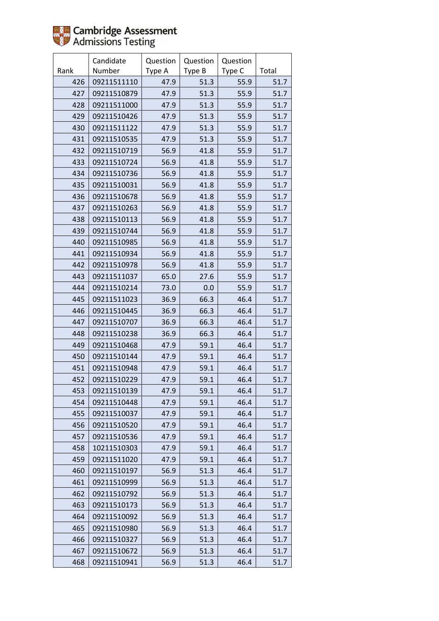

|      | Candidate   | Question | Question | Question |       |
|------|-------------|----------|----------|----------|-------|
| Rank | Number      | Type A   | Type B   | Type C   | Total |
| 426  | 09211511110 | 47.9     | 51.3     | 55.9     | 51.7  |
| 427  | 09211510879 | 47.9     | 51.3     | 55.9     | 51.7  |
| 428  | 09211511000 | 47.9     | 51.3     | 55.9     | 51.7  |
| 429  | 09211510426 | 47.9     | 51.3     | 55.9     | 51.7  |
| 430  | 09211511122 | 47.9     | 51.3     | 55.9     | 51.7  |
| 431  | 09211510535 | 47.9     | 51.3     | 55.9     | 51.7  |
| 432  | 09211510719 | 56.9     | 41.8     | 55.9     | 51.7  |
| 433  | 09211510724 | 56.9     | 41.8     | 55.9     | 51.7  |
| 434  | 09211510736 | 56.9     | 41.8     | 55.9     | 51.7  |
| 435  | 09211510031 | 56.9     | 41.8     | 55.9     | 51.7  |
| 436  | 09211510678 | 56.9     | 41.8     | 55.9     | 51.7  |
| 437  | 09211510263 | 56.9     | 41.8     | 55.9     | 51.7  |
| 438  | 09211510113 | 56.9     | 41.8     | 55.9     | 51.7  |
| 439  | 09211510744 | 56.9     | 41.8     | 55.9     | 51.7  |
| 440  | 09211510985 | 56.9     | 41.8     | 55.9     | 51.7  |
| 441  | 09211510934 | 56.9     | 41.8     | 55.9     | 51.7  |
| 442  | 09211510978 | 56.9     | 41.8     | 55.9     | 51.7  |
| 443  | 09211511037 | 65.0     | 27.6     | 55.9     | 51.7  |
| 444  | 09211510214 | 73.0     | 0.0      | 55.9     | 51.7  |
| 445  | 09211511023 | 36.9     | 66.3     | 46.4     | 51.7  |
| 446  | 09211510445 | 36.9     | 66.3     | 46.4     | 51.7  |
| 447  | 09211510707 | 36.9     | 66.3     | 46.4     | 51.7  |
| 448  | 09211510238 | 36.9     | 66.3     | 46.4     | 51.7  |
| 449  | 09211510468 | 47.9     | 59.1     | 46.4     | 51.7  |
| 450  | 09211510144 | 47.9     | 59.1     | 46.4     | 51.7  |
| 451  | 09211510948 | 47.9     | 59.1     | 46.4     | 51.7  |
| 452  | 09211510229 | 47.9     | 59.1     | 46.4     | 51.7  |
| 453  | 09211510139 | 47.9     | 59.1     | 46.4     | 51.7  |
| 454  | 09211510448 | 47.9     | 59.1     | 46.4     | 51.7  |
| 455  | 09211510037 | 47.9     | 59.1     | 46.4     | 51.7  |
| 456  | 09211510520 | 47.9     | 59.1     | 46.4     | 51.7  |
| 457  | 09211510536 | 47.9     | 59.1     | 46.4     | 51.7  |
| 458  | 10211510303 | 47.9     | 59.1     | 46.4     | 51.7  |
| 459  | 09211511020 | 47.9     | 59.1     | 46.4     | 51.7  |
| 460  | 09211510197 | 56.9     | 51.3     | 46.4     | 51.7  |
| 461  | 09211510999 | 56.9     | 51.3     | 46.4     | 51.7  |
| 462  | 09211510792 | 56.9     | 51.3     | 46.4     | 51.7  |
| 463  | 09211510173 | 56.9     | 51.3     | 46.4     | 51.7  |
| 464  | 09211510092 | 56.9     | 51.3     | 46.4     | 51.7  |
| 465  | 09211510980 | 56.9     | 51.3     | 46.4     | 51.7  |
| 466  | 09211510327 | 56.9     | 51.3     | 46.4     | 51.7  |
| 467  | 09211510672 | 56.9     | 51.3     | 46.4     | 51.7  |
| 468  | 09211510941 | 56.9     | 51.3     | 46.4     | 51.7  |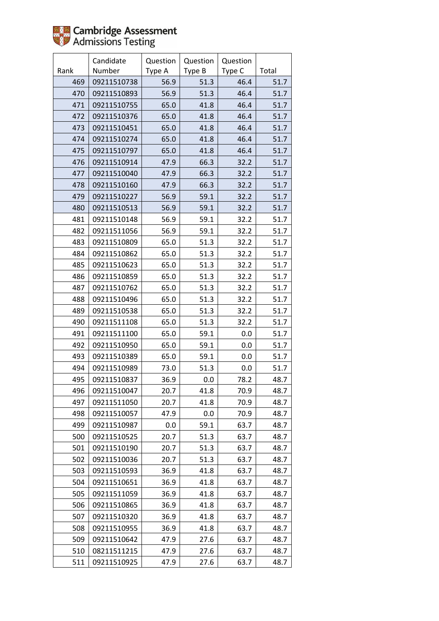|      | Candidate   | Question | Question | Question |       |
|------|-------------|----------|----------|----------|-------|
| Rank | Number      | Type A   | Type B   | Type C   | Total |
| 469  | 09211510738 | 56.9     | 51.3     | 46.4     | 51.7  |
| 470  | 09211510893 | 56.9     | 51.3     | 46.4     | 51.7  |
| 471  | 09211510755 | 65.0     | 41.8     | 46.4     | 51.7  |
| 472  | 09211510376 | 65.0     | 41.8     | 46.4     | 51.7  |
| 473  | 09211510451 | 65.0     | 41.8     | 46.4     | 51.7  |
| 474  | 09211510274 | 65.0     | 41.8     | 46.4     | 51.7  |
| 475  | 09211510797 | 65.0     | 41.8     | 46.4     | 51.7  |
| 476  | 09211510914 | 47.9     | 66.3     | 32.2     | 51.7  |
| 477  | 09211510040 | 47.9     | 66.3     | 32.2     | 51.7  |
| 478  | 09211510160 | 47.9     | 66.3     | 32.2     | 51.7  |
| 479  | 09211510227 | 56.9     | 59.1     | 32.2     | 51.7  |
| 480  | 09211510513 | 56.9     | 59.1     | 32.2     | 51.7  |
| 481  | 09211510148 | 56.9     | 59.1     | 32.2     | 51.7  |
| 482  | 09211511056 | 56.9     | 59.1     | 32.2     | 51.7  |
| 483  | 09211510809 | 65.0     | 51.3     | 32.2     | 51.7  |
| 484  | 09211510862 | 65.0     | 51.3     | 32.2     | 51.7  |
| 485  | 09211510623 | 65.0     | 51.3     | 32.2     | 51.7  |
| 486  | 09211510859 | 65.0     | 51.3     | 32.2     | 51.7  |
| 487  | 09211510762 | 65.0     | 51.3     | 32.2     | 51.7  |
| 488  | 09211510496 | 65.0     | 51.3     | 32.2     | 51.7  |
| 489  | 09211510538 | 65.0     | 51.3     | 32.2     | 51.7  |
| 490  | 09211511108 | 65.0     | 51.3     | 32.2     | 51.7  |
| 491  | 09211511100 | 65.0     | 59.1     | 0.0      | 51.7  |
| 492  | 09211510950 | 65.0     | 59.1     | 0.0      | 51.7  |
| 493  | 09211510389 | 65.0     | 59.1     | 0.0      | 51.7  |
| 494  | 09211510989 | 73.0     | 51.3     | 0.0      | 51.7  |
| 495  | 09211510837 | 36.9     | 0.0      | 78.2     | 48.7  |
| 496  | 09211510047 | 20.7     | 41.8     | 70.9     | 48.7  |
| 497  | 09211511050 | 20.7     | 41.8     | 70.9     | 48.7  |
| 498  | 09211510057 | 47.9     | 0.0      | 70.9     | 48.7  |
| 499  | 09211510987 | 0.0      | 59.1     | 63.7     | 48.7  |
| 500  | 09211510525 | 20.7     | 51.3     | 63.7     | 48.7  |
| 501  | 09211510190 | 20.7     | 51.3     | 63.7     | 48.7  |
| 502  | 09211510036 | 20.7     | 51.3     | 63.7     | 48.7  |
| 503  | 09211510593 | 36.9     | 41.8     | 63.7     | 48.7  |
| 504  | 09211510651 | 36.9     | 41.8     | 63.7     | 48.7  |
| 505  | 09211511059 | 36.9     | 41.8     | 63.7     | 48.7  |
| 506  | 09211510865 | 36.9     | 41.8     | 63.7     | 48.7  |
| 507  | 09211510320 | 36.9     | 41.8     | 63.7     | 48.7  |
| 508  | 09211510955 | 36.9     | 41.8     | 63.7     | 48.7  |
| 509  | 09211510642 | 47.9     | 27.6     | 63.7     | 48.7  |
| 510  | 08211511215 | 47.9     | 27.6     | 63.7     | 48.7  |
| 511  | 09211510925 | 47.9     | 27.6     | 63.7     | 48.7  |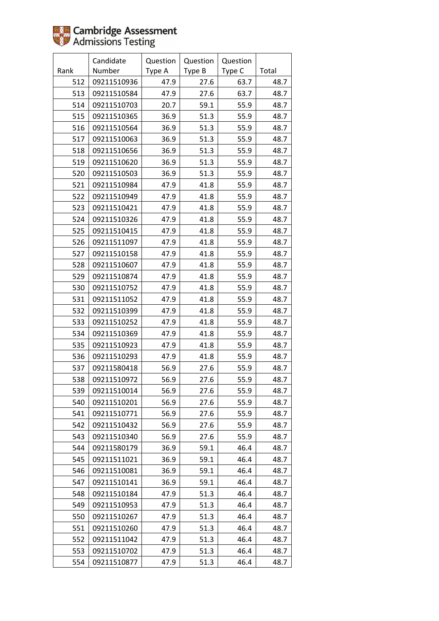|      | Candidate   | Question | Question | Question |       |
|------|-------------|----------|----------|----------|-------|
| Rank | Number      | Type A   | Type B   | Type C   | Total |
| 512  | 09211510936 | 47.9     | 27.6     | 63.7     | 48.7  |
| 513  | 09211510584 | 47.9     | 27.6     | 63.7     | 48.7  |
| 514  | 09211510703 | 20.7     | 59.1     | 55.9     | 48.7  |
| 515  | 09211510365 | 36.9     | 51.3     | 55.9     | 48.7  |
| 516  | 09211510564 | 36.9     | 51.3     | 55.9     | 48.7  |
| 517  | 09211510063 | 36.9     | 51.3     | 55.9     | 48.7  |
| 518  | 09211510656 | 36.9     | 51.3     | 55.9     | 48.7  |
| 519  | 09211510620 | 36.9     | 51.3     | 55.9     | 48.7  |
| 520  | 09211510503 | 36.9     | 51.3     | 55.9     | 48.7  |
| 521  | 09211510984 | 47.9     | 41.8     | 55.9     | 48.7  |
| 522  | 09211510949 | 47.9     | 41.8     | 55.9     | 48.7  |
| 523  | 09211510421 | 47.9     | 41.8     | 55.9     | 48.7  |
| 524  | 09211510326 | 47.9     | 41.8     | 55.9     | 48.7  |
| 525  | 09211510415 | 47.9     | 41.8     | 55.9     | 48.7  |
| 526  | 09211511097 | 47.9     | 41.8     | 55.9     | 48.7  |
| 527  | 09211510158 | 47.9     | 41.8     | 55.9     | 48.7  |
| 528  | 09211510607 | 47.9     | 41.8     | 55.9     | 48.7  |
| 529  | 09211510874 | 47.9     | 41.8     | 55.9     | 48.7  |
| 530  | 09211510752 | 47.9     | 41.8     | 55.9     | 48.7  |
| 531  | 09211511052 | 47.9     | 41.8     | 55.9     | 48.7  |
| 532  | 09211510399 | 47.9     | 41.8     | 55.9     | 48.7  |
| 533  | 09211510252 | 47.9     | 41.8     | 55.9     | 48.7  |
| 534  | 09211510369 | 47.9     | 41.8     | 55.9     | 48.7  |
| 535  | 09211510923 | 47.9     | 41.8     | 55.9     | 48.7  |
| 536  | 09211510293 | 47.9     | 41.8     | 55.9     | 48.7  |
| 537  | 09211580418 | 56.9     | 27.6     | 55.9     | 48.7  |
| 538  | 09211510972 | 56.9     | 27.6     | 55.9     | 48.7  |
| 539  | 09211510014 | 56.9     | 27.6     | 55.9     | 48.7  |
| 540  | 09211510201 | 56.9     | 27.6     | 55.9     | 48.7  |
| 541  | 09211510771 | 56.9     | 27.6     | 55.9     | 48.7  |
| 542  | 09211510432 | 56.9     | 27.6     | 55.9     | 48.7  |
| 543  | 09211510340 | 56.9     | 27.6     | 55.9     | 48.7  |
| 544  | 09211580179 | 36.9     | 59.1     | 46.4     | 48.7  |
| 545  | 09211511021 | 36.9     | 59.1     | 46.4     | 48.7  |
| 546  | 09211510081 | 36.9     | 59.1     | 46.4     | 48.7  |
| 547  | 09211510141 | 36.9     | 59.1     | 46.4     | 48.7  |
| 548  | 09211510184 | 47.9     | 51.3     | 46.4     | 48.7  |
| 549  | 09211510953 | 47.9     | 51.3     | 46.4     | 48.7  |
| 550  | 09211510267 | 47.9     | 51.3     | 46.4     | 48.7  |
| 551  | 09211510260 | 47.9     | 51.3     | 46.4     | 48.7  |
| 552  | 09211511042 | 47.9     | 51.3     | 46.4     | 48.7  |
| 553  | 09211510702 | 47.9     | 51.3     | 46.4     | 48.7  |
| 554  | 09211510877 | 47.9     | 51.3     | 46.4     | 48.7  |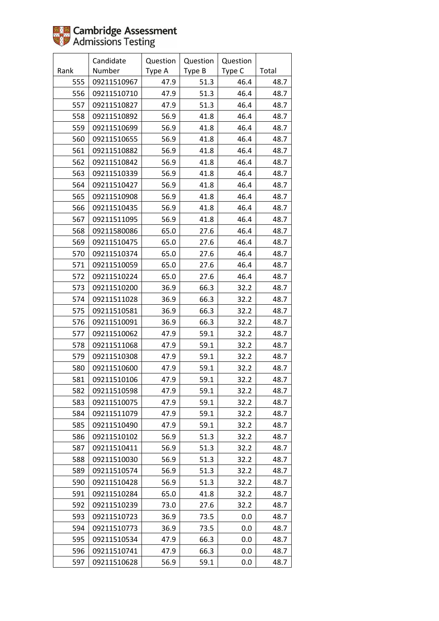|      | Candidate   | Question | Question | Question |       |
|------|-------------|----------|----------|----------|-------|
| Rank | Number      | Type A   | Type B   | Type C   | Total |
| 555  | 09211510967 | 47.9     | 51.3     | 46.4     | 48.7  |
| 556  | 09211510710 | 47.9     | 51.3     | 46.4     | 48.7  |
| 557  | 09211510827 | 47.9     | 51.3     | 46.4     | 48.7  |
| 558  | 09211510892 | 56.9     | 41.8     | 46.4     | 48.7  |
| 559  | 09211510699 | 56.9     | 41.8     | 46.4     | 48.7  |
| 560  | 09211510655 | 56.9     | 41.8     | 46.4     | 48.7  |
| 561  | 09211510882 | 56.9     | 41.8     | 46.4     | 48.7  |
| 562  | 09211510842 | 56.9     | 41.8     | 46.4     | 48.7  |
| 563  | 09211510339 | 56.9     | 41.8     | 46.4     | 48.7  |
| 564  | 09211510427 | 56.9     | 41.8     | 46.4     | 48.7  |
| 565  | 09211510908 | 56.9     | 41.8     | 46.4     | 48.7  |
| 566  | 09211510435 | 56.9     | 41.8     | 46.4     | 48.7  |
| 567  | 09211511095 | 56.9     | 41.8     | 46.4     | 48.7  |
| 568  | 09211580086 | 65.0     | 27.6     | 46.4     | 48.7  |
| 569  | 09211510475 | 65.0     | 27.6     | 46.4     | 48.7  |
| 570  | 09211510374 | 65.0     | 27.6     | 46.4     | 48.7  |
| 571  | 09211510059 | 65.0     | 27.6     | 46.4     | 48.7  |
| 572  | 09211510224 | 65.0     | 27.6     | 46.4     | 48.7  |
| 573  | 09211510200 | 36.9     | 66.3     | 32.2     | 48.7  |
| 574  | 09211511028 | 36.9     | 66.3     | 32.2     | 48.7  |
| 575  | 09211510581 | 36.9     | 66.3     | 32.2     | 48.7  |
| 576  | 09211510091 | 36.9     | 66.3     | 32.2     | 48.7  |
| 577  | 09211510062 | 47.9     | 59.1     | 32.2     | 48.7  |
| 578  | 09211511068 | 47.9     | 59.1     | 32.2     | 48.7  |
| 579  | 09211510308 | 47.9     | 59.1     | 32.2     | 48.7  |
| 580  | 09211510600 | 47.9     | 59.1     | 32.2     | 48.7  |
| 581  | 09211510106 | 47.9     | 59.1     | 32.2     | 48.7  |
| 582  | 09211510598 | 47.9     | 59.1     | 32.2     | 48.7  |
| 583  | 09211510075 | 47.9     | 59.1     | 32.2     | 48.7  |
| 584  | 09211511079 | 47.9     | 59.1     | 32.2     | 48.7  |
| 585  | 09211510490 | 47.9     | 59.1     | 32.2     | 48.7  |
| 586  | 09211510102 | 56.9     | 51.3     | 32.2     | 48.7  |
| 587  | 09211510411 | 56.9     | 51.3     | 32.2     | 48.7  |
| 588  | 09211510030 | 56.9     | 51.3     | 32.2     | 48.7  |
| 589  | 09211510574 | 56.9     | 51.3     | 32.2     | 48.7  |
| 590  | 09211510428 | 56.9     | 51.3     | 32.2     | 48.7  |
| 591  | 09211510284 | 65.0     | 41.8     | 32.2     | 48.7  |
| 592  | 09211510239 | 73.0     | 27.6     | 32.2     | 48.7  |
| 593  | 09211510723 | 36.9     | 73.5     | 0.0      | 48.7  |
| 594  | 09211510773 | 36.9     | 73.5     | 0.0      | 48.7  |
| 595  | 09211510534 | 47.9     | 66.3     | 0.0      | 48.7  |
| 596  | 09211510741 | 47.9     | 66.3     | 0.0      | 48.7  |
| 597  | 09211510628 | 56.9     | 59.1     | 0.0      | 48.7  |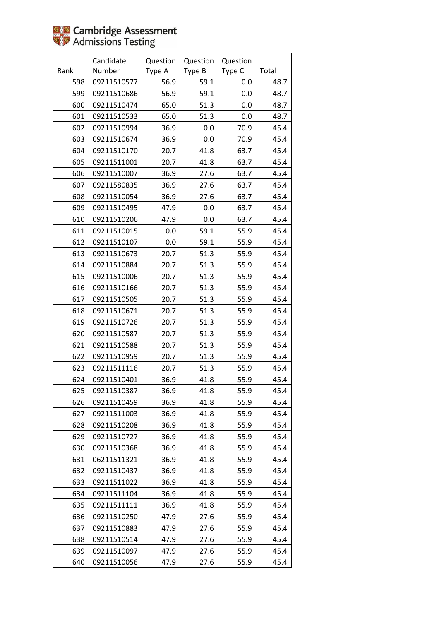|      | Candidate   | Question | Question | Question |       |
|------|-------------|----------|----------|----------|-------|
| Rank | Number      | Type A   | Type B   | Type C   | Total |
| 598  | 09211510577 | 56.9     | 59.1     | 0.0      | 48.7  |
| 599  | 09211510686 | 56.9     | 59.1     | 0.0      | 48.7  |
| 600  | 09211510474 | 65.0     | 51.3     | 0.0      | 48.7  |
| 601  | 09211510533 | 65.0     | 51.3     | 0.0      | 48.7  |
| 602  | 09211510994 | 36.9     | 0.0      | 70.9     | 45.4  |
| 603  | 09211510674 | 36.9     | 0.0      | 70.9     | 45.4  |
| 604  | 09211510170 | 20.7     | 41.8     | 63.7     | 45.4  |
| 605  | 09211511001 | 20.7     | 41.8     | 63.7     | 45.4  |
| 606  | 09211510007 | 36.9     | 27.6     | 63.7     | 45.4  |
| 607  | 09211580835 | 36.9     | 27.6     | 63.7     | 45.4  |
| 608  | 09211510054 | 36.9     | 27.6     | 63.7     | 45.4  |
| 609  | 09211510495 | 47.9     | 0.0      | 63.7     | 45.4  |
| 610  | 09211510206 | 47.9     | 0.0      | 63.7     | 45.4  |
| 611  | 09211510015 | 0.0      | 59.1     | 55.9     | 45.4  |
| 612  | 09211510107 | 0.0      | 59.1     | 55.9     | 45.4  |
| 613  | 09211510673 | 20.7     | 51.3     | 55.9     | 45.4  |
| 614  | 09211510884 | 20.7     | 51.3     | 55.9     | 45.4  |
| 615  | 09211510006 | 20.7     | 51.3     | 55.9     | 45.4  |
| 616  | 09211510166 | 20.7     | 51.3     | 55.9     | 45.4  |
| 617  | 09211510505 | 20.7     | 51.3     | 55.9     | 45.4  |
| 618  | 09211510671 | 20.7     | 51.3     | 55.9     | 45.4  |
| 619  | 09211510726 | 20.7     | 51.3     | 55.9     | 45.4  |
| 620  | 09211510587 | 20.7     | 51.3     | 55.9     | 45.4  |
| 621  | 09211510588 | 20.7     | 51.3     | 55.9     | 45.4  |
| 622  | 09211510959 | 20.7     | 51.3     | 55.9     | 45.4  |
| 623  | 09211511116 | 20.7     | 51.3     | 55.9     | 45.4  |
| 624  | 09211510401 | 36.9     | 41.8     | 55.9     | 45.4  |
| 625  | 09211510387 | 36.9     | 41.8     | 55.9     | 45.4  |
| 626  | 09211510459 | 36.9     | 41.8     | 55.9     | 45.4  |
| 627  | 09211511003 | 36.9     | 41.8     | 55.9     | 45.4  |
| 628  | 09211510208 | 36.9     | 41.8     | 55.9     | 45.4  |
| 629  | 09211510727 | 36.9     | 41.8     | 55.9     | 45.4  |
| 630  | 09211510368 | 36.9     | 41.8     | 55.9     | 45.4  |
| 631  | 06211511321 | 36.9     | 41.8     | 55.9     | 45.4  |
| 632  | 09211510437 | 36.9     | 41.8     | 55.9     | 45.4  |
| 633  | 09211511022 | 36.9     | 41.8     | 55.9     | 45.4  |
| 634  | 09211511104 | 36.9     | 41.8     | 55.9     | 45.4  |
| 635  | 09211511111 | 36.9     | 41.8     | 55.9     | 45.4  |
| 636  | 09211510250 | 47.9     | 27.6     | 55.9     | 45.4  |
| 637  | 09211510883 | 47.9     | 27.6     | 55.9     | 45.4  |
| 638  | 09211510514 | 47.9     | 27.6     | 55.9     | 45.4  |
| 639  | 09211510097 | 47.9     | 27.6     | 55.9     | 45.4  |
| 640  | 09211510056 | 47.9     | 27.6     | 55.9     | 45.4  |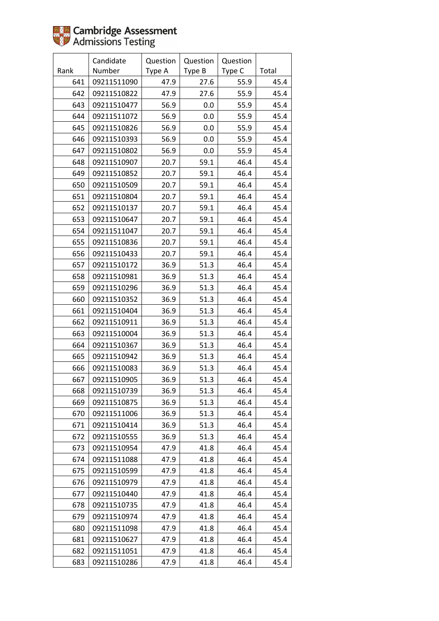|      | Candidate   | Question | Question | Question |       |
|------|-------------|----------|----------|----------|-------|
| Rank | Number      | Type A   | Type B   | Type C   | Total |
| 641  | 09211511090 | 47.9     | 27.6     | 55.9     | 45.4  |
| 642  | 09211510822 | 47.9     | 27.6     | 55.9     | 45.4  |
| 643  | 09211510477 | 56.9     | 0.0      | 55.9     | 45.4  |
| 644  | 09211511072 | 56.9     | 0.0      | 55.9     | 45.4  |
| 645  | 09211510826 | 56.9     | 0.0      | 55.9     | 45.4  |
| 646  | 09211510393 | 56.9     | 0.0      | 55.9     | 45.4  |
| 647  | 09211510802 | 56.9     | 0.0      | 55.9     | 45.4  |
| 648  | 09211510907 | 20.7     | 59.1     | 46.4     | 45.4  |
| 649  | 09211510852 | 20.7     | 59.1     | 46.4     | 45.4  |
| 650  | 09211510509 | 20.7     | 59.1     | 46.4     | 45.4  |
| 651  | 09211510804 | 20.7     | 59.1     | 46.4     | 45.4  |
| 652  | 09211510137 | 20.7     | 59.1     | 46.4     | 45.4  |
| 653  | 09211510647 | 20.7     | 59.1     | 46.4     | 45.4  |
| 654  | 09211511047 | 20.7     | 59.1     | 46.4     | 45.4  |
| 655  | 09211510836 | 20.7     | 59.1     | 46.4     | 45.4  |
| 656  | 09211510433 | 20.7     | 59.1     | 46.4     | 45.4  |
| 657  | 09211510172 | 36.9     | 51.3     | 46.4     | 45.4  |
| 658  | 09211510981 | 36.9     | 51.3     | 46.4     | 45.4  |
| 659  | 09211510296 | 36.9     | 51.3     | 46.4     | 45.4  |
| 660  | 09211510352 | 36.9     | 51.3     | 46.4     | 45.4  |
| 661  | 09211510404 | 36.9     | 51.3     | 46.4     | 45.4  |
| 662  | 09211510911 | 36.9     | 51.3     | 46.4     | 45.4  |
| 663  | 09211510004 | 36.9     | 51.3     | 46.4     | 45.4  |
| 664  | 09211510367 | 36.9     | 51.3     | 46.4     | 45.4  |
| 665  | 09211510942 | 36.9     | 51.3     | 46.4     | 45.4  |
| 666  | 09211510083 | 36.9     | 51.3     | 46.4     | 45.4  |
| 667  | 09211510905 | 36.9     | 51.3     | 46.4     | 45.4  |
| 668  | 09211510739 | 36.9     | 51.3     | 46.4     | 45.4  |
| 669  | 09211510875 | 36.9     | 51.3     | 46.4     | 45.4  |
| 670  | 09211511006 | 36.9     | 51.3     | 46.4     | 45.4  |
| 671  | 09211510414 | 36.9     | 51.3     | 46.4     | 45.4  |
| 672  | 09211510555 | 36.9     | 51.3     | 46.4     | 45.4  |
| 673  | 09211510954 | 47.9     | 41.8     | 46.4     | 45.4  |
| 674  | 09211511088 | 47.9     | 41.8     | 46.4     | 45.4  |
| 675  | 09211510599 | 47.9     | 41.8     | 46.4     | 45.4  |
| 676  | 09211510979 | 47.9     | 41.8     | 46.4     | 45.4  |
| 677  | 09211510440 | 47.9     | 41.8     | 46.4     | 45.4  |
| 678  | 09211510735 | 47.9     | 41.8     | 46.4     | 45.4  |
| 679  | 09211510974 | 47.9     | 41.8     | 46.4     | 45.4  |
| 680  | 09211511098 | 47.9     | 41.8     | 46.4     | 45.4  |
| 681  | 09211510627 | 47.9     | 41.8     | 46.4     | 45.4  |
| 682  | 09211511051 | 47.9     | 41.8     | 46.4     | 45.4  |
| 683  | 09211510286 | 47.9     | 41.8     | 46.4     | 45.4  |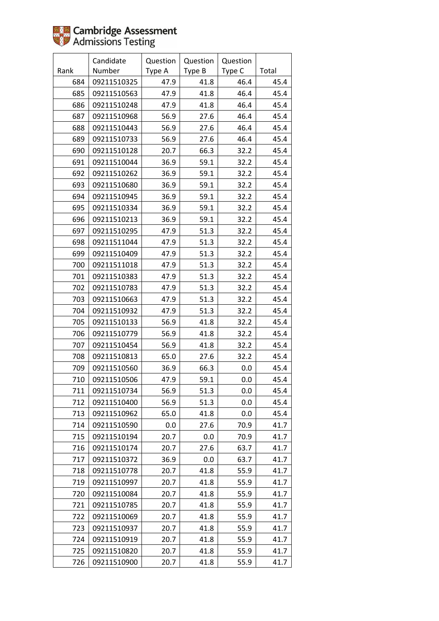|      | Candidate   | Question | Question | Question |       |
|------|-------------|----------|----------|----------|-------|
| Rank | Number      | Type A   | Type B   | Type C   | Total |
| 684  | 09211510325 | 47.9     | 41.8     | 46.4     | 45.4  |
| 685  | 09211510563 | 47.9     | 41.8     | 46.4     | 45.4  |
| 686  | 09211510248 | 47.9     | 41.8     | 46.4     | 45.4  |
| 687  | 09211510968 | 56.9     | 27.6     | 46.4     | 45.4  |
| 688  | 09211510443 | 56.9     | 27.6     | 46.4     | 45.4  |
| 689  | 09211510733 | 56.9     | 27.6     | 46.4     | 45.4  |
| 690  | 09211510128 | 20.7     | 66.3     | 32.2     | 45.4  |
| 691  | 09211510044 | 36.9     | 59.1     | 32.2     | 45.4  |
| 692  | 09211510262 | 36.9     | 59.1     | 32.2     | 45.4  |
| 693  | 09211510680 | 36.9     | 59.1     | 32.2     | 45.4  |
| 694  | 09211510945 | 36.9     | 59.1     | 32.2     | 45.4  |
| 695  | 09211510334 | 36.9     | 59.1     | 32.2     | 45.4  |
| 696  | 09211510213 | 36.9     | 59.1     | 32.2     | 45.4  |
| 697  | 09211510295 | 47.9     | 51.3     | 32.2     | 45.4  |
| 698  | 09211511044 | 47.9     | 51.3     | 32.2     | 45.4  |
| 699  | 09211510409 | 47.9     | 51.3     | 32.2     | 45.4  |
| 700  | 09211511018 | 47.9     | 51.3     | 32.2     | 45.4  |
| 701  | 09211510383 | 47.9     | 51.3     | 32.2     | 45.4  |
| 702  | 09211510783 | 47.9     | 51.3     | 32.2     | 45.4  |
| 703  | 09211510663 | 47.9     | 51.3     | 32.2     | 45.4  |
| 704  | 09211510932 | 47.9     | 51.3     | 32.2     | 45.4  |
| 705  | 09211510133 | 56.9     | 41.8     | 32.2     | 45.4  |
| 706  | 09211510779 | 56.9     | 41.8     | 32.2     | 45.4  |
| 707  | 09211510454 | 56.9     | 41.8     | 32.2     | 45.4  |
| 708  | 09211510813 | 65.0     | 27.6     | 32.2     | 45.4  |
| 709  | 09211510560 | 36.9     | 66.3     | 0.0      | 45.4  |
| 710  | 09211510506 | 47.9     | 59.1     | 0.0      | 45.4  |
| 711  | 09211510734 | 56.9     | 51.3     | 0.0      | 45.4  |
| 712  | 09211510400 | 56.9     | 51.3     | 0.0      | 45.4  |
| 713  | 09211510962 | 65.0     | 41.8     | 0.0      | 45.4  |
| 714  | 09211510590 | 0.0      | 27.6     | 70.9     | 41.7  |
| 715  | 09211510194 | 20.7     | 0.0      | 70.9     | 41.7  |
| 716  | 09211510174 | 20.7     | 27.6     | 63.7     | 41.7  |
| 717  | 09211510372 | 36.9     | 0.0      | 63.7     | 41.7  |
| 718  | 09211510778 | 20.7     | 41.8     | 55.9     | 41.7  |
| 719  | 09211510997 | 20.7     | 41.8     | 55.9     | 41.7  |
| 720  | 09211510084 | 20.7     | 41.8     | 55.9     | 41.7  |
| 721  | 09211510785 | 20.7     | 41.8     | 55.9     | 41.7  |
| 722  | 09211510069 | 20.7     | 41.8     | 55.9     | 41.7  |
| 723  | 09211510937 | 20.7     | 41.8     | 55.9     | 41.7  |
| 724  | 09211510919 | 20.7     | 41.8     | 55.9     | 41.7  |
| 725  | 09211510820 | 20.7     | 41.8     | 55.9     | 41.7  |
| 726  | 09211510900 | 20.7     | 41.8     | 55.9     | 41.7  |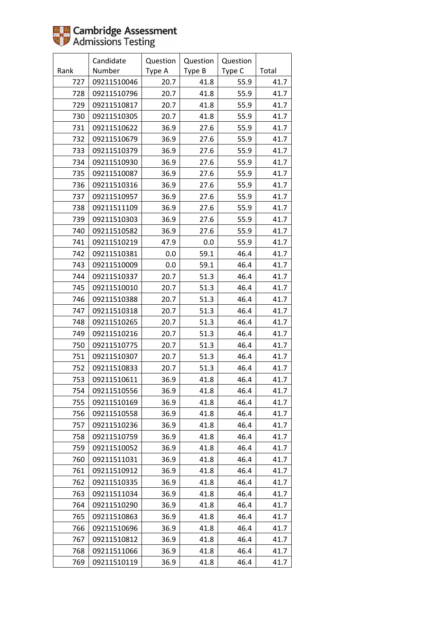|      | Candidate   | Question | Question | Question |       |
|------|-------------|----------|----------|----------|-------|
| Rank | Number      | Type A   | Type B   | Type C   | Total |
| 727  | 09211510046 | 20.7     | 41.8     | 55.9     | 41.7  |
| 728  | 09211510796 | 20.7     | 41.8     | 55.9     | 41.7  |
| 729  | 09211510817 | 20.7     | 41.8     | 55.9     | 41.7  |
| 730  | 09211510305 | 20.7     | 41.8     | 55.9     | 41.7  |
| 731  | 09211510622 | 36.9     | 27.6     | 55.9     | 41.7  |
| 732  | 09211510679 | 36.9     | 27.6     | 55.9     | 41.7  |
| 733  | 09211510379 | 36.9     | 27.6     | 55.9     | 41.7  |
| 734  | 09211510930 | 36.9     | 27.6     | 55.9     | 41.7  |
| 735  | 09211510087 | 36.9     | 27.6     | 55.9     | 41.7  |
| 736  | 09211510316 | 36.9     | 27.6     | 55.9     | 41.7  |
| 737  | 09211510957 | 36.9     | 27.6     | 55.9     | 41.7  |
| 738  | 09211511109 | 36.9     | 27.6     | 55.9     | 41.7  |
| 739  | 09211510303 | 36.9     | 27.6     | 55.9     | 41.7  |
| 740  | 09211510582 | 36.9     | 27.6     | 55.9     | 41.7  |
| 741  | 09211510219 | 47.9     | 0.0      | 55.9     | 41.7  |
| 742  | 09211510381 | 0.0      | 59.1     | 46.4     | 41.7  |
| 743  | 09211510009 | 0.0      | 59.1     | 46.4     | 41.7  |
| 744  | 09211510337 | 20.7     | 51.3     | 46.4     | 41.7  |
| 745  | 09211510010 | 20.7     | 51.3     | 46.4     | 41.7  |
| 746  | 09211510388 | 20.7     | 51.3     | 46.4     | 41.7  |
| 747  | 09211510318 | 20.7     | 51.3     | 46.4     | 41.7  |
| 748  | 09211510265 | 20.7     | 51.3     | 46.4     | 41.7  |
| 749  | 09211510216 | 20.7     | 51.3     | 46.4     | 41.7  |
| 750  | 09211510775 | 20.7     | 51.3     | 46.4     | 41.7  |
| 751  | 09211510307 | 20.7     | 51.3     | 46.4     | 41.7  |
| 752  | 09211510833 | 20.7     | 51.3     | 46.4     | 41.7  |
| 753  | 09211510611 | 36.9     | 41.8     | 46.4     | 41.7  |
| 754  | 09211510556 | 36.9     | 41.8     | 46.4     | 41.7  |
| 755  | 09211510169 | 36.9     | 41.8     | 46.4     | 41.7  |
| 756  | 09211510558 | 36.9     | 41.8     | 46.4     | 41.7  |
| 757  | 09211510236 | 36.9     | 41.8     | 46.4     | 41.7  |
| 758  | 09211510759 | 36.9     | 41.8     | 46.4     | 41.7  |
| 759  | 09211510052 | 36.9     | 41.8     | 46.4     | 41.7  |
| 760  | 09211511031 | 36.9     | 41.8     | 46.4     | 41.7  |
| 761  | 09211510912 | 36.9     | 41.8     | 46.4     | 41.7  |
| 762  | 09211510335 | 36.9     | 41.8     | 46.4     | 41.7  |
| 763  | 09211511034 | 36.9     | 41.8     | 46.4     | 41.7  |
| 764  | 09211510290 | 36.9     | 41.8     | 46.4     | 41.7  |
| 765  | 09211510863 | 36.9     | 41.8     | 46.4     | 41.7  |
| 766  | 09211510696 | 36.9     | 41.8     | 46.4     | 41.7  |
| 767  | 09211510812 | 36.9     | 41.8     | 46.4     | 41.7  |
| 768  | 09211511066 | 36.9     | 41.8     | 46.4     | 41.7  |
| 769  | 09211510119 | 36.9     | 41.8     | 46.4     | 41.7  |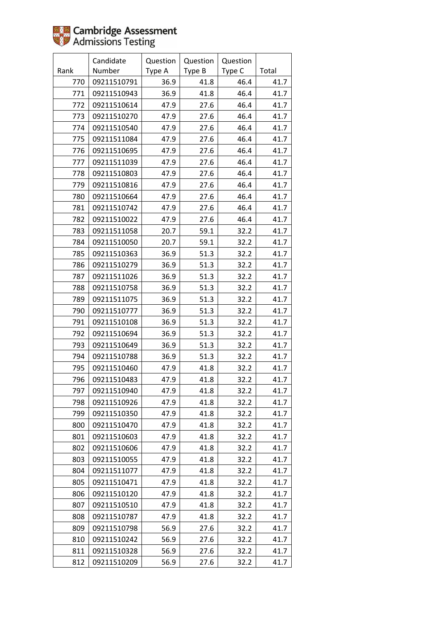|      | Candidate   | Question | Question | Question |       |
|------|-------------|----------|----------|----------|-------|
| Rank | Number      | Type A   | Type B   | Type C   | Total |
| 770  | 09211510791 | 36.9     | 41.8     | 46.4     | 41.7  |
| 771  | 09211510943 | 36.9     | 41.8     | 46.4     | 41.7  |
| 772  | 09211510614 | 47.9     | 27.6     | 46.4     | 41.7  |
| 773  | 09211510270 | 47.9     | 27.6     | 46.4     | 41.7  |
| 774  | 09211510540 | 47.9     | 27.6     | 46.4     | 41.7  |
| 775  | 09211511084 | 47.9     | 27.6     | 46.4     | 41.7  |
| 776  | 09211510695 | 47.9     | 27.6     | 46.4     | 41.7  |
| 777  | 09211511039 | 47.9     | 27.6     | 46.4     | 41.7  |
| 778  | 09211510803 | 47.9     | 27.6     | 46.4     | 41.7  |
| 779  | 09211510816 | 47.9     | 27.6     | 46.4     | 41.7  |
| 780  | 09211510664 | 47.9     | 27.6     | 46.4     | 41.7  |
| 781  | 09211510742 | 47.9     | 27.6     | 46.4     | 41.7  |
| 782  | 09211510022 | 47.9     | 27.6     | 46.4     | 41.7  |
| 783  | 09211511058 | 20.7     | 59.1     | 32.2     | 41.7  |
| 784  | 09211510050 | 20.7     | 59.1     | 32.2     | 41.7  |
| 785  | 09211510363 | 36.9     | 51.3     | 32.2     | 41.7  |
| 786  | 09211510279 | 36.9     | 51.3     | 32.2     | 41.7  |
| 787  | 09211511026 | 36.9     | 51.3     | 32.2     | 41.7  |
| 788  | 09211510758 | 36.9     | 51.3     | 32.2     | 41.7  |
| 789  | 09211511075 | 36.9     | 51.3     | 32.2     | 41.7  |
| 790  | 09211510777 | 36.9     | 51.3     | 32.2     | 41.7  |
| 791  | 09211510108 | 36.9     | 51.3     | 32.2     | 41.7  |
| 792  | 09211510694 | 36.9     | 51.3     | 32.2     | 41.7  |
| 793  | 09211510649 | 36.9     | 51.3     | 32.2     | 41.7  |
| 794  | 09211510788 | 36.9     | 51.3     | 32.2     | 41.7  |
| 795  | 09211510460 | 47.9     | 41.8     | 32.2     | 41.7  |
| 796  | 09211510483 | 47.9     | 41.8     | 32.2     | 41.7  |
| 797  | 09211510940 | 47.9     | 41.8     | 32.2     | 41.7  |
| 798  | 09211510926 | 47.9     | 41.8     | 32.2     | 41.7  |
| 799  | 09211510350 | 47.9     | 41.8     | 32.2     | 41.7  |
| 800  | 09211510470 | 47.9     | 41.8     | 32.2     | 41.7  |
| 801  | 09211510603 | 47.9     | 41.8     | 32.2     | 41.7  |
| 802  | 09211510606 | 47.9     | 41.8     | 32.2     | 41.7  |
| 803  | 09211510055 | 47.9     | 41.8     | 32.2     | 41.7  |
| 804  | 09211511077 | 47.9     | 41.8     | 32.2     | 41.7  |
| 805  | 09211510471 | 47.9     | 41.8     | 32.2     | 41.7  |
| 806  | 09211510120 | 47.9     | 41.8     | 32.2     | 41.7  |
| 807  | 09211510510 | 47.9     | 41.8     | 32.2     | 41.7  |
| 808  | 09211510787 | 47.9     | 41.8     | 32.2     | 41.7  |
| 809  | 09211510798 | 56.9     | 27.6     | 32.2     | 41.7  |
| 810  | 09211510242 | 56.9     | 27.6     | 32.2     | 41.7  |
| 811  | 09211510328 | 56.9     | 27.6     | 32.2     | 41.7  |
| 812  | 09211510209 | 56.9     | 27.6     | 32.2     | 41.7  |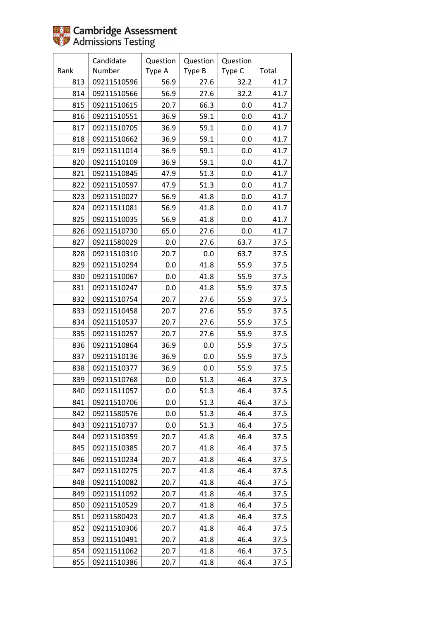|      | Candidate   | Question | Question | Question |       |
|------|-------------|----------|----------|----------|-------|
| Rank | Number      | Type A   | Type B   | Type C   | Total |
| 813  | 09211510596 | 56.9     | 27.6     | 32.2     | 41.7  |
| 814  | 09211510566 | 56.9     | 27.6     | 32.2     | 41.7  |
| 815  | 09211510615 | 20.7     | 66.3     | 0.0      | 41.7  |
| 816  | 09211510551 | 36.9     | 59.1     | 0.0      | 41.7  |
| 817  | 09211510705 | 36.9     | 59.1     | 0.0      | 41.7  |
| 818  | 09211510662 | 36.9     | 59.1     | 0.0      | 41.7  |
| 819  | 09211511014 | 36.9     | 59.1     | 0.0      | 41.7  |
| 820  | 09211510109 | 36.9     | 59.1     | 0.0      | 41.7  |
| 821  | 09211510845 | 47.9     | 51.3     | 0.0      | 41.7  |
| 822  | 09211510597 | 47.9     | 51.3     | 0.0      | 41.7  |
| 823  | 09211510027 | 56.9     | 41.8     | 0.0      | 41.7  |
| 824  | 09211511081 | 56.9     | 41.8     | 0.0      | 41.7  |
| 825  | 09211510035 | 56.9     | 41.8     | 0.0      | 41.7  |
| 826  | 09211510730 | 65.0     | 27.6     | 0.0      | 41.7  |
| 827  | 09211580029 | 0.0      | 27.6     | 63.7     | 37.5  |
| 828  | 09211510310 | 20.7     | 0.0      | 63.7     | 37.5  |
| 829  | 09211510294 | 0.0      | 41.8     | 55.9     | 37.5  |
| 830  | 09211510067 | 0.0      | 41.8     | 55.9     | 37.5  |
| 831  | 09211510247 | 0.0      | 41.8     | 55.9     | 37.5  |
| 832  | 09211510754 | 20.7     | 27.6     | 55.9     | 37.5  |
| 833  | 09211510458 | 20.7     | 27.6     | 55.9     | 37.5  |
| 834  | 09211510537 | 20.7     | 27.6     | 55.9     | 37.5  |
| 835  | 09211510257 | 20.7     | 27.6     | 55.9     | 37.5  |
| 836  | 09211510864 | 36.9     | 0.0      | 55.9     | 37.5  |
| 837  | 09211510136 | 36.9     | 0.0      | 55.9     | 37.5  |
| 838  | 09211510377 | 36.9     | 0.0      | 55.9     | 37.5  |
| 839  | 09211510768 | 0.0      | 51.3     | 46.4     | 37.5  |
| 840  | 09211511057 | 0.0      | 51.3     | 46.4     | 37.5  |
| 841  | 09211510706 | 0.0      | 51.3     | 46.4     | 37.5  |
| 842  | 09211580576 | 0.0      | 51.3     | 46.4     | 37.5  |
| 843  | 09211510737 | 0.0      | 51.3     | 46.4     | 37.5  |
| 844  | 09211510359 | 20.7     | 41.8     | 46.4     | 37.5  |
| 845  | 09211510385 | 20.7     | 41.8     | 46.4     | 37.5  |
| 846  | 09211510234 | 20.7     | 41.8     | 46.4     | 37.5  |
| 847  | 09211510275 | 20.7     | 41.8     | 46.4     | 37.5  |
| 848  | 09211510082 | 20.7     | 41.8     | 46.4     | 37.5  |
| 849  | 09211511092 | 20.7     | 41.8     | 46.4     | 37.5  |
| 850  | 09211510529 | 20.7     | 41.8     | 46.4     | 37.5  |
| 851  | 09211580423 | 20.7     | 41.8     | 46.4     | 37.5  |
| 852  | 09211510306 | 20.7     | 41.8     | 46.4     | 37.5  |
| 853  | 09211510491 | 20.7     | 41.8     | 46.4     | 37.5  |
| 854  | 09211511062 | 20.7     | 41.8     | 46.4     | 37.5  |
| 855  | 09211510386 | 20.7     | 41.8     | 46.4     | 37.5  |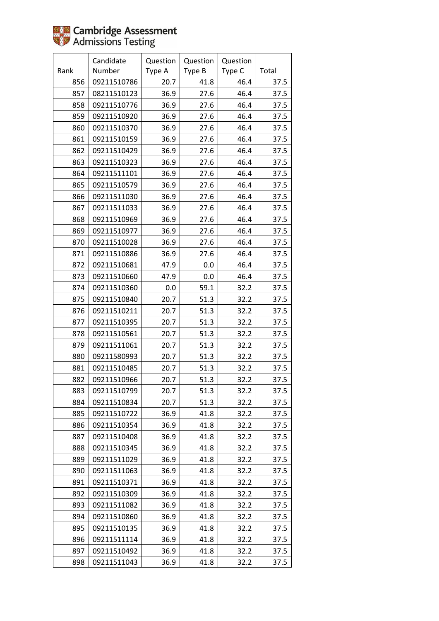|      | Candidate   | Question | Question | Question |       |
|------|-------------|----------|----------|----------|-------|
| Rank | Number      | Type A   | Type B   | Type C   | Total |
| 856  | 09211510786 | 20.7     | 41.8     | 46.4     | 37.5  |
| 857  | 08211510123 | 36.9     | 27.6     | 46.4     | 37.5  |
| 858  | 09211510776 | 36.9     | 27.6     | 46.4     | 37.5  |
| 859  | 09211510920 | 36.9     | 27.6     | 46.4     | 37.5  |
| 860  | 09211510370 | 36.9     | 27.6     | 46.4     | 37.5  |
| 861  | 09211510159 | 36.9     | 27.6     | 46.4     | 37.5  |
| 862  | 09211510429 | 36.9     | 27.6     | 46.4     | 37.5  |
| 863  | 09211510323 | 36.9     | 27.6     | 46.4     | 37.5  |
| 864  | 09211511101 | 36.9     | 27.6     | 46.4     | 37.5  |
| 865  | 09211510579 | 36.9     | 27.6     | 46.4     | 37.5  |
| 866  | 09211511030 | 36.9     | 27.6     | 46.4     | 37.5  |
| 867  | 09211511033 | 36.9     | 27.6     | 46.4     | 37.5  |
| 868  | 09211510969 | 36.9     | 27.6     | 46.4     | 37.5  |
| 869  | 09211510977 | 36.9     | 27.6     | 46.4     | 37.5  |
| 870  | 09211510028 | 36.9     | 27.6     | 46.4     | 37.5  |
| 871  | 09211510886 | 36.9     | 27.6     | 46.4     | 37.5  |
| 872  | 09211510681 | 47.9     | 0.0      | 46.4     | 37.5  |
| 873  | 09211510660 | 47.9     | 0.0      | 46.4     | 37.5  |
| 874  | 09211510360 | 0.0      | 59.1     | 32.2     | 37.5  |
| 875  | 09211510840 | 20.7     | 51.3     | 32.2     | 37.5  |
| 876  | 09211510211 | 20.7     | 51.3     | 32.2     | 37.5  |
| 877  | 09211510395 | 20.7     | 51.3     | 32.2     | 37.5  |
| 878  | 09211510561 | 20.7     | 51.3     | 32.2     | 37.5  |
| 879  | 09211511061 | 20.7     | 51.3     | 32.2     | 37.5  |
| 880  | 09211580993 | 20.7     | 51.3     | 32.2     | 37.5  |
| 881  | 09211510485 | 20.7     | 51.3     | 32.2     | 37.5  |
| 882  | 09211510966 | 20.7     | 51.3     | 32.2     | 37.5  |
| 883  | 09211510799 | 20.7     | 51.3     | 32.2     | 37.5  |
| 884  | 09211510834 | 20.7     | 51.3     | 32.2     | 37.5  |
| 885  | 09211510722 | 36.9     | 41.8     | 32.2     | 37.5  |
| 886  | 09211510354 | 36.9     | 41.8     | 32.2     | 37.5  |
| 887  | 09211510408 | 36.9     | 41.8     | 32.2     | 37.5  |
| 888  | 09211510345 | 36.9     | 41.8     | 32.2     | 37.5  |
| 889  | 09211511029 | 36.9     | 41.8     | 32.2     | 37.5  |
| 890  | 09211511063 | 36.9     | 41.8     | 32.2     | 37.5  |
| 891  | 09211510371 | 36.9     | 41.8     | 32.2     | 37.5  |
| 892  | 09211510309 | 36.9     | 41.8     | 32.2     | 37.5  |
| 893  | 09211511082 | 36.9     | 41.8     | 32.2     | 37.5  |
| 894  | 09211510860 | 36.9     | 41.8     | 32.2     | 37.5  |
| 895  | 09211510135 | 36.9     | 41.8     | 32.2     | 37.5  |
| 896  | 09211511114 | 36.9     | 41.8     | 32.2     | 37.5  |
| 897  | 09211510492 | 36.9     | 41.8     | 32.2     | 37.5  |
| 898  | 09211511043 | 36.9     | 41.8     | 32.2     | 37.5  |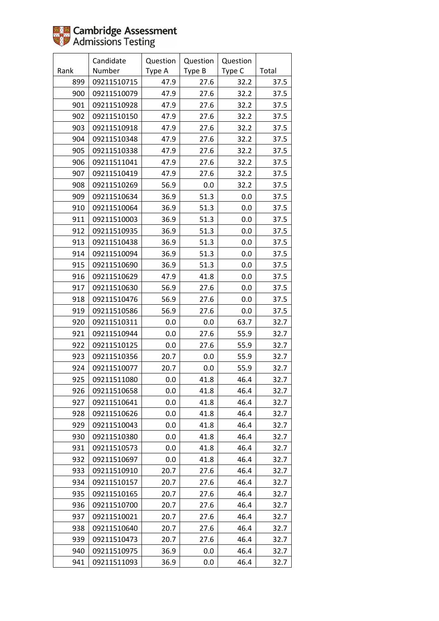|      | Candidate   | Question | Question | Question |       |
|------|-------------|----------|----------|----------|-------|
| Rank | Number      | Type A   | Type B   | Type C   | Total |
| 899  | 09211510715 | 47.9     | 27.6     | 32.2     | 37.5  |
| 900  | 09211510079 | 47.9     | 27.6     | 32.2     | 37.5  |
| 901  | 09211510928 | 47.9     | 27.6     | 32.2     | 37.5  |
| 902  | 09211510150 | 47.9     | 27.6     | 32.2     | 37.5  |
| 903  | 09211510918 | 47.9     | 27.6     | 32.2     | 37.5  |
| 904  | 09211510348 | 47.9     | 27.6     | 32.2     | 37.5  |
| 905  | 09211510338 | 47.9     | 27.6     | 32.2     | 37.5  |
| 906  | 09211511041 | 47.9     | 27.6     | 32.2     | 37.5  |
| 907  | 09211510419 | 47.9     | 27.6     | 32.2     | 37.5  |
| 908  | 09211510269 | 56.9     | 0.0      | 32.2     | 37.5  |
| 909  | 09211510634 | 36.9     | 51.3     | 0.0      | 37.5  |
| 910  | 09211510064 | 36.9     | 51.3     | 0.0      | 37.5  |
| 911  | 09211510003 | 36.9     | 51.3     | 0.0      | 37.5  |
| 912  | 09211510935 | 36.9     | 51.3     | 0.0      | 37.5  |
| 913  | 09211510438 | 36.9     | 51.3     | 0.0      | 37.5  |
| 914  | 09211510094 | 36.9     | 51.3     | 0.0      | 37.5  |
| 915  | 09211510690 | 36.9     | 51.3     | 0.0      | 37.5  |
| 916  | 09211510629 | 47.9     | 41.8     | 0.0      | 37.5  |
| 917  | 09211510630 | 56.9     | 27.6     | 0.0      | 37.5  |
| 918  | 09211510476 | 56.9     | 27.6     | 0.0      | 37.5  |
| 919  | 09211510586 | 56.9     | 27.6     | 0.0      | 37.5  |
| 920  | 09211510311 | 0.0      | 0.0      | 63.7     | 32.7  |
| 921  | 09211510944 | 0.0      | 27.6     | 55.9     | 32.7  |
| 922  | 09211510125 | 0.0      | 27.6     | 55.9     | 32.7  |
| 923  | 09211510356 | 20.7     | 0.0      | 55.9     | 32.7  |
| 924  | 09211510077 | 20.7     | 0.0      | 55.9     | 32.7  |
| 925  | 09211511080 | 0.0      | 41.8     | 46.4     | 32.7  |
| 926  | 09211510658 | 0.0      | 41.8     | 46.4     | 32.7  |
| 927  | 09211510641 | 0.0      | 41.8     | 46.4     | 32.7  |
| 928  | 09211510626 | 0.0      | 41.8     | 46.4     | 32.7  |
| 929  | 09211510043 | 0.0      | 41.8     | 46.4     | 32.7  |
| 930  | 09211510380 | 0.0      | 41.8     | 46.4     | 32.7  |
| 931  | 09211510573 | 0.0      | 41.8     | 46.4     | 32.7  |
| 932  | 09211510697 | 0.0      | 41.8     | 46.4     | 32.7  |
| 933  | 09211510910 | 20.7     | 27.6     | 46.4     | 32.7  |
| 934  | 09211510157 | 20.7     | 27.6     | 46.4     | 32.7  |
| 935  | 09211510165 | 20.7     | 27.6     | 46.4     | 32.7  |
| 936  | 09211510700 | 20.7     | 27.6     | 46.4     | 32.7  |
| 937  | 09211510021 | 20.7     | 27.6     | 46.4     | 32.7  |
| 938  | 09211510640 | 20.7     | 27.6     | 46.4     | 32.7  |
| 939  | 09211510473 | 20.7     | 27.6     | 46.4     | 32.7  |
| 940  | 09211510975 | 36.9     | 0.0      | 46.4     | 32.7  |
| 941  | 09211511093 | 36.9     | 0.0      | 46.4     | 32.7  |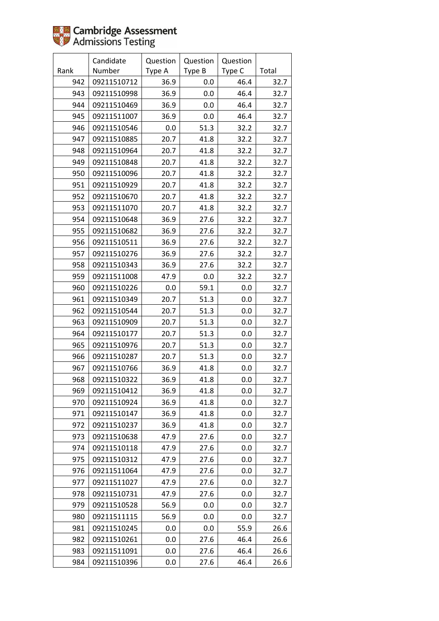

|      | Candidate   | Question | Question | Question |       |
|------|-------------|----------|----------|----------|-------|
| Rank | Number      | Type A   | Type B   | Type C   | Total |
| 942  | 09211510712 | 36.9     | 0.0      | 46.4     | 32.7  |
| 943  | 09211510998 | 36.9     | 0.0      | 46.4     | 32.7  |
| 944  | 09211510469 | 36.9     | 0.0      | 46.4     | 32.7  |
| 945  | 09211511007 | 36.9     | 0.0      | 46.4     | 32.7  |
| 946  | 09211510546 | 0.0      | 51.3     | 32.2     | 32.7  |
| 947  | 09211510885 | 20.7     | 41.8     | 32.2     | 32.7  |
| 948  | 09211510964 | 20.7     | 41.8     | 32.2     | 32.7  |
| 949  | 09211510848 | 20.7     | 41.8     | 32.2     | 32.7  |
| 950  | 09211510096 | 20.7     | 41.8     | 32.2     | 32.7  |
| 951  | 09211510929 | 20.7     | 41.8     | 32.2     | 32.7  |
| 952  | 09211510670 | 20.7     | 41.8     | 32.2     | 32.7  |
| 953  | 09211511070 | 20.7     | 41.8     | 32.2     | 32.7  |
| 954  | 09211510648 | 36.9     | 27.6     | 32.2     | 32.7  |
| 955  | 09211510682 | 36.9     | 27.6     | 32.2     | 32.7  |
| 956  | 09211510511 | 36.9     | 27.6     | 32.2     | 32.7  |
| 957  | 09211510276 | 36.9     | 27.6     | 32.2     | 32.7  |
| 958  | 09211510343 | 36.9     | 27.6     | 32.2     | 32.7  |
| 959  | 09211511008 | 47.9     | 0.0      | 32.2     | 32.7  |
| 960  | 09211510226 | 0.0      | 59.1     | 0.0      | 32.7  |
| 961  | 09211510349 | 20.7     | 51.3     | 0.0      | 32.7  |
| 962  | 09211510544 | 20.7     | 51.3     | 0.0      | 32.7  |
| 963  | 09211510909 | 20.7     | 51.3     | 0.0      | 32.7  |
| 964  | 09211510177 | 20.7     | 51.3     | 0.0      | 32.7  |
| 965  | 09211510976 | 20.7     | 51.3     | 0.0      | 32.7  |
| 966  | 09211510287 | 20.7     | 51.3     | 0.0      | 32.7  |
| 967  | 09211510766 | 36.9     | 41.8     | 0.0      | 32.7  |
| 968  | 09211510322 | 36.9     | 41.8     | 0.0      | 32.7  |
| 969  | 09211510412 | 36.9     | 41.8     | 0.0      | 32.7  |
| 970  | 09211510924 | 36.9     | 41.8     | 0.0      | 32.7  |
| 971  | 09211510147 | 36.9     | 41.8     | 0.0      | 32.7  |
| 972  | 09211510237 | 36.9     | 41.8     | 0.0      | 32.7  |
| 973  | 09211510638 | 47.9     | 27.6     | 0.0      | 32.7  |
| 974  | 09211510118 | 47.9     | 27.6     | 0.0      | 32.7  |
| 975  | 09211510312 | 47.9     | 27.6     | 0.0      | 32.7  |
| 976  | 09211511064 | 47.9     | 27.6     | 0.0      | 32.7  |
| 977  | 09211511027 | 47.9     | 27.6     | 0.0      | 32.7  |
| 978  | 09211510731 | 47.9     | 27.6     | 0.0      | 32.7  |
| 979  | 09211510528 | 56.9     | 0.0      | 0.0      | 32.7  |
| 980  | 09211511115 | 56.9     | 0.0      | 0.0      | 32.7  |
| 981  | 09211510245 | $0.0\,$  | 0.0      | 55.9     | 26.6  |
| 982  | 09211510261 | 0.0      | 27.6     | 46.4     | 26.6  |
| 983  | 09211511091 | 0.0      | 27.6     | 46.4     | 26.6  |
| 984  | 09211510396 | 0.0      | 27.6     | 46.4     | 26.6  |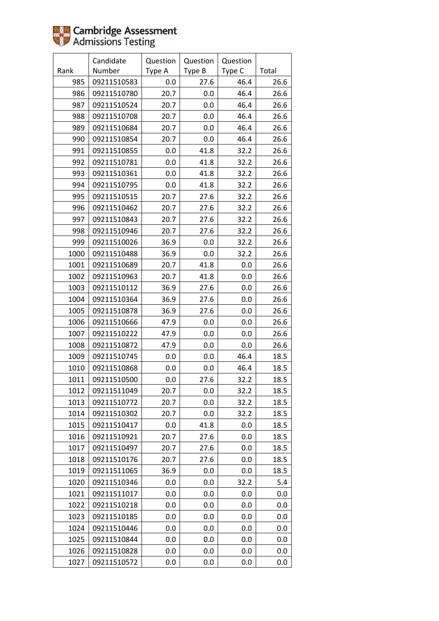|      | Candidate   | Question | Question | Question |       |
|------|-------------|----------|----------|----------|-------|
| Rank | Number      | Type A   | Type B   | Type C   | Total |
| 985  | 09211510583 | 0.0      | 27.6     | 46.4     | 26.6  |
| 986  | 09211510780 | 20.7     | 0.0      | 46.4     | 26.6  |
| 987  | 09211510524 | 20.7     | 0.0      | 46.4     | 26.6  |
| 988  | 09211510708 | 20.7     | 0.0      | 46.4     | 26.6  |
| 989  | 09211510684 | 20.7     | 0.0      | 46.4     | 26.6  |
| 990  | 09211510854 | 20.7     | 0.0      | 46.4     | 26.6  |
| 991  | 09211510855 | 0.0      | 41.8     | 32.2     | 26.6  |
| 992  | 09211510781 | 0.0      | 41.8     | 32.2     | 26.6  |
| 993  | 09211510361 | 0.0      | 41.8     | 32.2     | 26.6  |
| 994  | 09211510795 | 0.0      | 41.8     | 32.2     | 26.6  |
| 995  | 09211510515 | 20.7     | 27.6     | 32.2     | 26.6  |
| 996  | 09211510462 | 20.7     | 27.6     | 32.2     | 26.6  |
| 997  | 09211510843 | 20.7     | 27.6     | 32.2     | 26.6  |
| 998  | 09211510946 | 20.7     | 27.6     | 32.2     | 26.6  |
| 999  | 09211510026 | 36.9     | 0.0      | 32.2     | 26.6  |
| 1000 | 09211510488 | 36.9     | 0.0      | 32.2     | 26.6  |
| 1001 | 09211510689 | 20.7     | 41.8     | 0.0      | 26.6  |
| 1002 | 09211510963 | 20.7     | 41.8     | 0.0      | 26.6  |
| 1003 | 09211510112 | 36.9     | 27.6     | 0.0      | 26.6  |
| 1004 | 09211510364 | 36.9     | 27.6     | 0.0      | 26.6  |
| 1005 | 09211510878 | 36.9     | 27.6     | 0.0      | 26.6  |
| 1006 | 09211510666 | 47.9     | 0.0      | 0.0      | 26.6  |
| 1007 | 09211510222 | 47.9     | 0.0      | 0.0      | 26.6  |
| 1008 | 09211510872 | 47.9     | 0.0      | 0.0      | 26.6  |
| 1009 | 09211510745 | 0.0      | 0.0      | 46.4     | 18.5  |
| 1010 | 09211510868 | 0.0      | 0.0      | 46.4     | 18.5  |
| 1011 | 09211510500 | 0.0      | 27.6     | 32.2     | 18.5  |
| 1012 | 09211511049 | 20.7     | 0.0      | 32.2     | 18.5  |
| 1013 | 09211510772 | 20.7     | 0.0      | 32.2     | 18.5  |
| 1014 | 09211510302 | 20.7     | 0.0      | 32.2     | 18.5  |
| 1015 | 09211510417 | 0.0      | 41.8     | 0.0      | 18.5  |
| 1016 | 09211510921 | 20.7     | 27.6     | 0.0      | 18.5  |
| 1017 | 09211510497 | 20.7     | 27.6     | 0.0      | 18.5  |
| 1018 | 09211510176 | 20.7     | 27.6     | 0.0      | 18.5  |
| 1019 | 09211511065 | 36.9     | 0.0      | 0.0      | 18.5  |
| 1020 | 09211510346 | 0.0      | 0.0      | 32.2     | 5.4   |
| 1021 | 09211511017 | 0.0      | 0.0      | 0.0      | 0.0   |
| 1022 | 09211510218 | 0.0      | 0.0      | 0.0      | 0.0   |
| 1023 | 09211510185 | 0.0      | 0.0      | 0.0      | 0.0   |
| 1024 | 09211510446 | 0.0      | 0.0      | 0.0      | 0.0   |
| 1025 | 09211510844 | 0.0      | 0.0      | 0.0      | 0.0   |
| 1026 | 09211510828 | 0.0      | 0.0      | 0.0      | 0.0   |
| 1027 | 09211510572 | 0.0      | 0.0      | 0.0      | 0.0   |